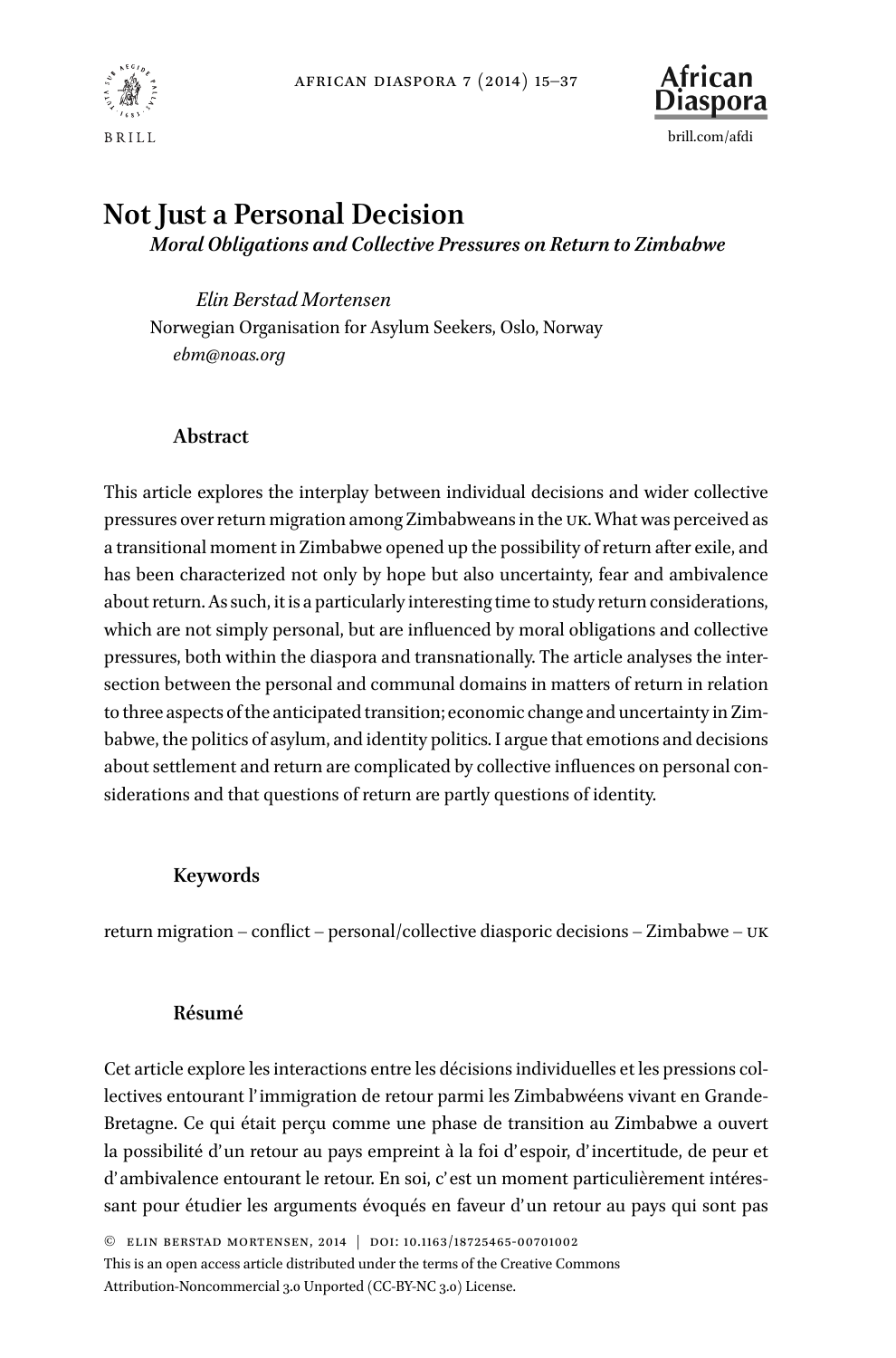



# <span id="page-0-0"></span>**Not Just a Personal Decision** *Moral Obligations and Collective Pressures on Return to Zimbabwe*

*Elin Berstad Mortensen* Norwegian Organisation for Asylum Seekers, Oslo, Norway *[ebm@noas.org](mailto:ebm@noas.org)*

# **Abstract**

This article explores the interplay between individual decisions and wider collective pressures over return migration among Zimbabweans in the uk. What was perceived as a transitional moment in Zimbabwe opened up the possibility of return after exile, and has been characterized not only by hope but also uncertainty, fear and ambivalence about return. As such, it is a particularly interesting time to study return considerations, which are not simply personal, but are influenced by moral obligations and collective pressures, both within the diaspora and transnationally. The article analyses the intersection between the personal and communal domains in matters of return in relation to three aspects of the anticipated transition; economic change and uncertainty in Zimbabwe, the politics of asylum, and identity politics. I argue that emotions and decisions about settlement and return are complicated by collective influences on personal considerations and that questions of return are partly questions of identity.

# **Keywords**

return migration – conflict – personal/collective diasporic decisions – Zimbabwe – uk

# **Résumé**

Cet article explore les interactions entre les décisions individuelles et les pressions collectives entourant l'immigration de retour parmi les Zimbabwéens vivant en Grande-Bretagne. Ce qui était perçu comme une phase de transition au Zimbabwe a ouvert la possibilité d'un retour au pays empreint à la foi d'espoir, d'incertitude, de peur et d'ambivalence entourant le retour. En soi, c'est un moment particulièrement intéressant pour étudier les arguments évoqués en faveur d'un retour au pays qui sont pas

<sup>©</sup> elin berstad mortensen, 2014 | doi: 10.1163/18725465-00701002 This is an open access article distributed under the terms of the [Creative Commons](http://creativecommons.org/licenses/by-nc/3.0/) [Attribution-Noncommercial 3.0 Unported \(CC-BY-NC 3.0\) License.](http://creativecommons.org/licenses/by-nc/3.0/)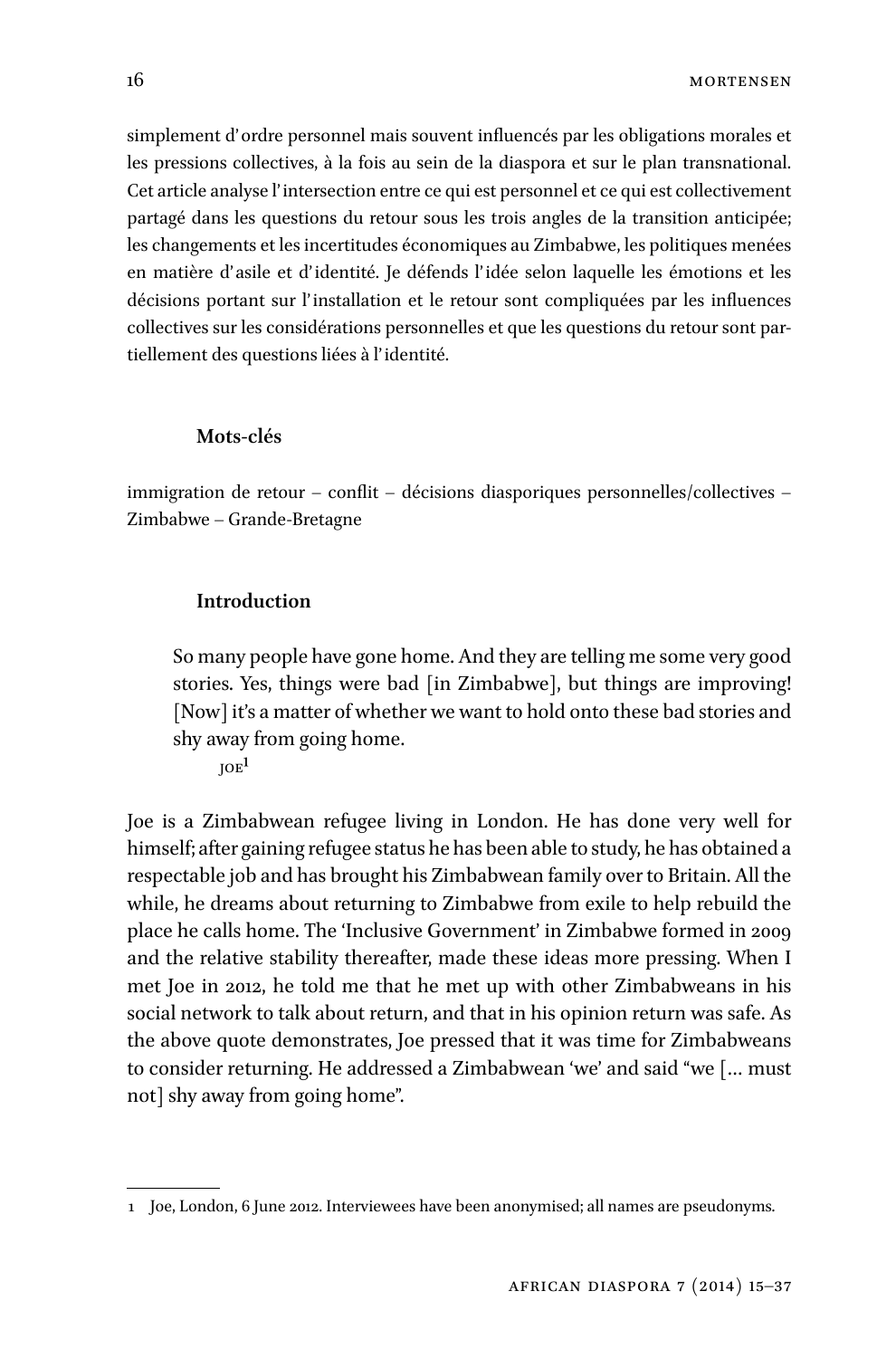simplement d'ordre personnel mais souvent influencés par les obligations morales et les pressions collectives, à la fois au sein de la diaspora et sur le plan transnational. Cet article analyse l'intersection entre ce qui est personnel et ce qui est collectivement partagé dans les questions du retour sous les trois angles de la transition anticipée; les changements et les incertitudes économiques au Zimbabwe, les politiques menées en matière d'asile et d'identité. Je défends l'idée selon laquelle les émotions et les décisions portant sur l'installation et le retour sont compliquées par les influences collectives sur les considérations personnelles et que les questions du retour sont partiellement des questions liées à l'identité.

#### **Mots-clés**

immigration de retour – conflit – décisions diasporiques personnelles/collectives – Zimbabwe – Grande-Bretagne

### **Introduction**

So many people have gone home. And they are telling me some very good stories. Yes, things were bad [in Zimbabwe], but things are improving! [Now] it's a matter of whether we want to hold onto these bad stories and shy away from going home.

 $10E<sup>1</sup>$ 

Joe is a Zimbabwean refugee living in London. He has done very well for himself; after gaining refugee status he has been able to study, he has obtained a respectable job and has brought his Zimbabwean family over to Britain. All the while, he dreams about returning to Zimbabwe from exile to help rebuild the place he calls home. The 'Inclusive Government' in Zimbabwe formed in 2009 and the relative stability thereafter, made these ideas more pressing. When I met Joe in 2012, he told me that he met up with other Zimbabweans in his social network to talk about return, and that in his opinion return was safe. As the above quote demonstrates, Joe pressed that it was time for Zimbabweans to consider returning. He addressed a Zimbabwean 'we' and said "we [… must not] shy away from going home".

<sup>1</sup> Joe, London, 6 June 2012. Interviewees have been anonymised; all names are pseudonyms.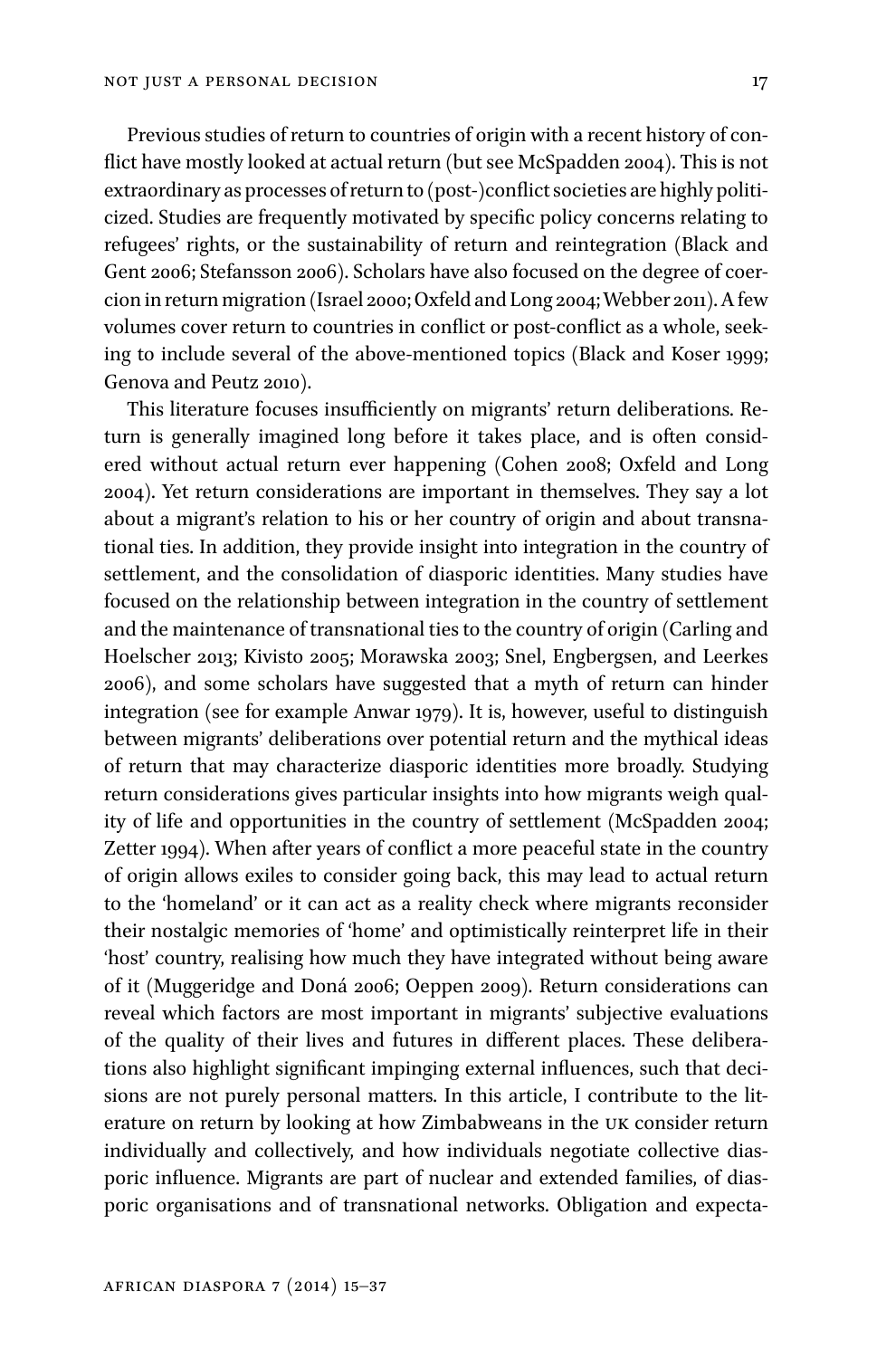Previous studies of return to countries of origin with a recent history of conflict have mostly looked at actual return (but see McSpadden 2004). This is not extraordinary as processes of return to (post-)conflict societies are highly politicized. Studies are frequently motivated by specific policy concerns relating to refugees' rights, or the sustainability of return and reintegration (Black and Gent 2006; Stefansson 2006). Scholars have also focused on the degree of coercion in return migration (Israel 2000; Oxfeld and Long 2004; Webber 2011). A few volumes cover return to countries in conflict or post-conflict as a whole, seeking to include several of the above-mentioned topics (Black and Koser 1999; Genova and Peutz 2010).

This literature focuses insufficiently on migrants' return deliberations. Return is generally imagined long before it takes place, and is often considered without actual return ever happening (Cohen 2008; Oxfeld and Long 2004). Yet return considerations are important in themselves. They say a lot about a migrant's relation to his or her country of origin and about transnational ties. In addition, they provide insight into integration in the country of settlement, and the consolidation of diasporic identities. Many studies have focused on the relationship between integration in the country of settlement and the maintenance of transnational ties to the country of origin (Carling and Hoelscher 2013; Kivisto 2005; Morawska 2003; Snel, Engbergsen, and Leerkes 2006), and some scholars have suggested that a myth of return can hinder integration (see for example Anwar 1979). It is, however, useful to distinguish between migrants' deliberations over potential return and the mythical ideas of return that may characterize diasporic identities more broadly. Studying return considerations gives particular insights into how migrants weigh quality of life and opportunities in the country of settlement (McSpadden 2004; Zetter 1994). When after years of conflict a more peaceful state in the country of origin allows exiles to consider going back, this may lead to actual return to the 'homeland' or it can act as a reality check where migrants reconsider their nostalgic memories of 'home' and optimistically reinterpret life in their 'host' country, realising how much they have integrated without being aware of it (Muggeridge and Doná 2006; Oeppen 2009). Return considerations can reveal which factors are most important in migrants' subjective evaluations of the quality of their lives and futures in different places. These deliberations also highlight significant impinging external influences, such that decisions are not purely personal matters. In this article, I contribute to the literature on return by looking at how Zimbabweans in the uk consider return individually and collectively, and how individuals negotiate collective diasporic influence. Migrants are part of nuclear and extended families, of diasporic organisations and of transnational networks. Obligation and expecta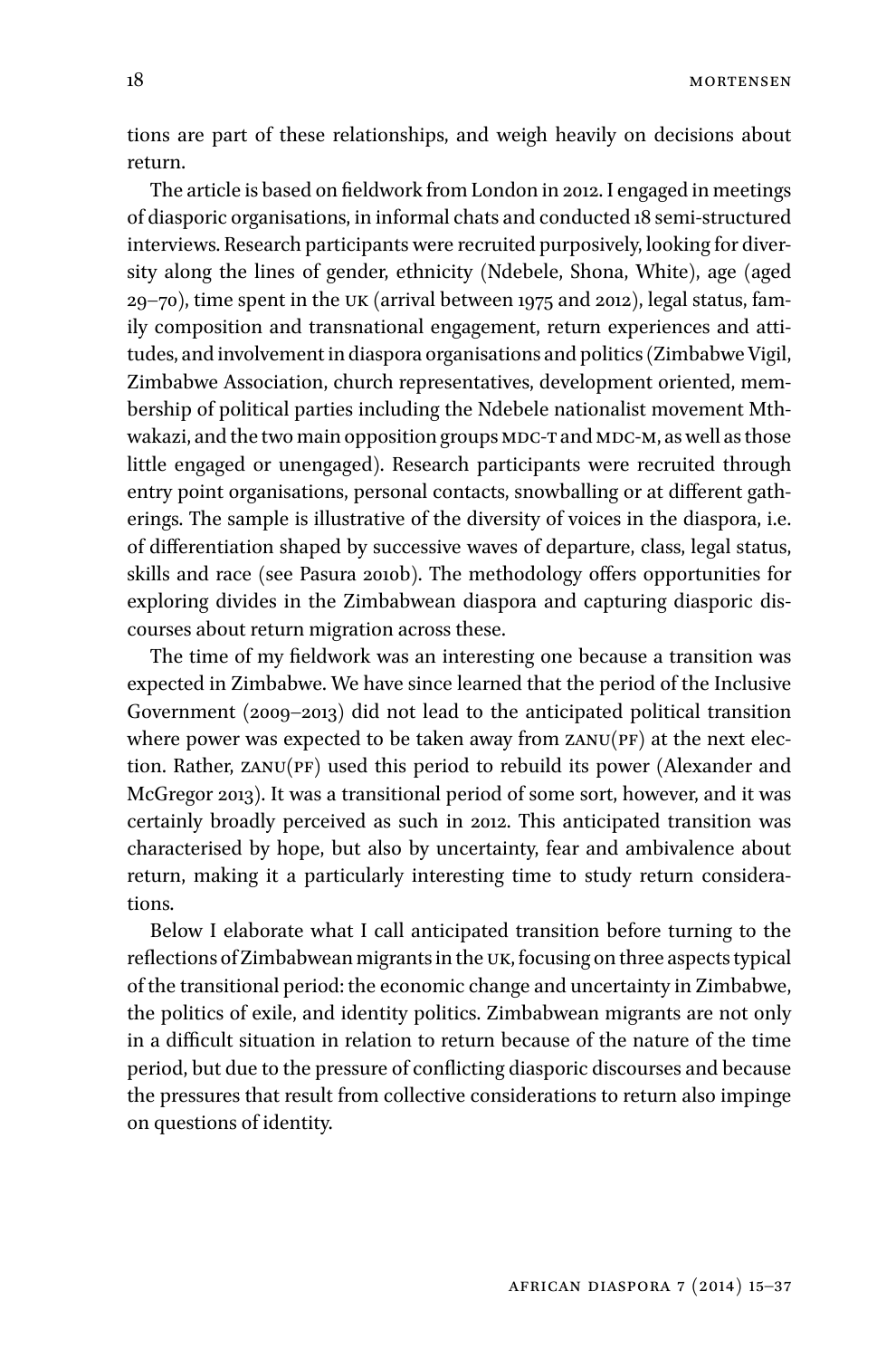tions are part of these relationships, and weigh heavily on decisions about return.

The article is based on fieldwork from London in 2012. I engaged in meetings of diasporic organisations, in informal chats and conducted 18 semi-structured interviews. Research participants were recruited purposively, looking for diversity along the lines of gender, ethnicity (Ndebele, Shona, White), age (aged 29–70), time spent in the uk (arrival between 1975 and 2012), legal status, family composition and transnational engagement, return experiences and attitudes, and involvement in diaspora organisations and politics (Zimbabwe Vigil, Zimbabwe Association, church representatives, development oriented, membership of political parties including the Ndebele nationalist movement Mthwakazi, and the two main opposition groups MDC-T and MDC-M, as well as those little engaged or unengaged). Research participants were recruited through entry point organisations, personal contacts, snowballing or at different gatherings. The sample is illustrative of the diversity of voices in the diaspora, i.e. of differentiation shaped by successive waves of departure, class, legal status, skills and race (see Pasura 2010b). The methodology offers opportunities for exploring divides in the Zimbabwean diaspora and capturing diasporic discourses about return migration across these.

The time of my fieldwork was an interesting one because a transition was expected in Zimbabwe. We have since learned that the period of the Inclusive Government (2009–2013) did not lead to the anticipated political transition where power was expected to be taken away from  $ZANU(PF)$  at the next election. Rather,  $ZANU(PF)$  used this period to rebuild its power (Alexander and McGregor 2013). It was a transitional period of some sort, however, and it was certainly broadly perceived as such in 2012. This anticipated transition was characterised by hope, but also by uncertainty, fear and ambivalence about return, making it a particularly interesting time to study return considerations.

Below I elaborate what I call anticipated transition before turning to the reflections of Zimbabwean migrants in the uk, focusing on three aspects typical of the transitional period: the economic change and uncertainty in Zimbabwe, the politics of exile, and identity politics. Zimbabwean migrants are not only in a difficult situation in relation to return because of the nature of the time period, but due to the pressure of conflicting diasporic discourses and because the pressures that result from collective considerations to return also impinge on questions of identity.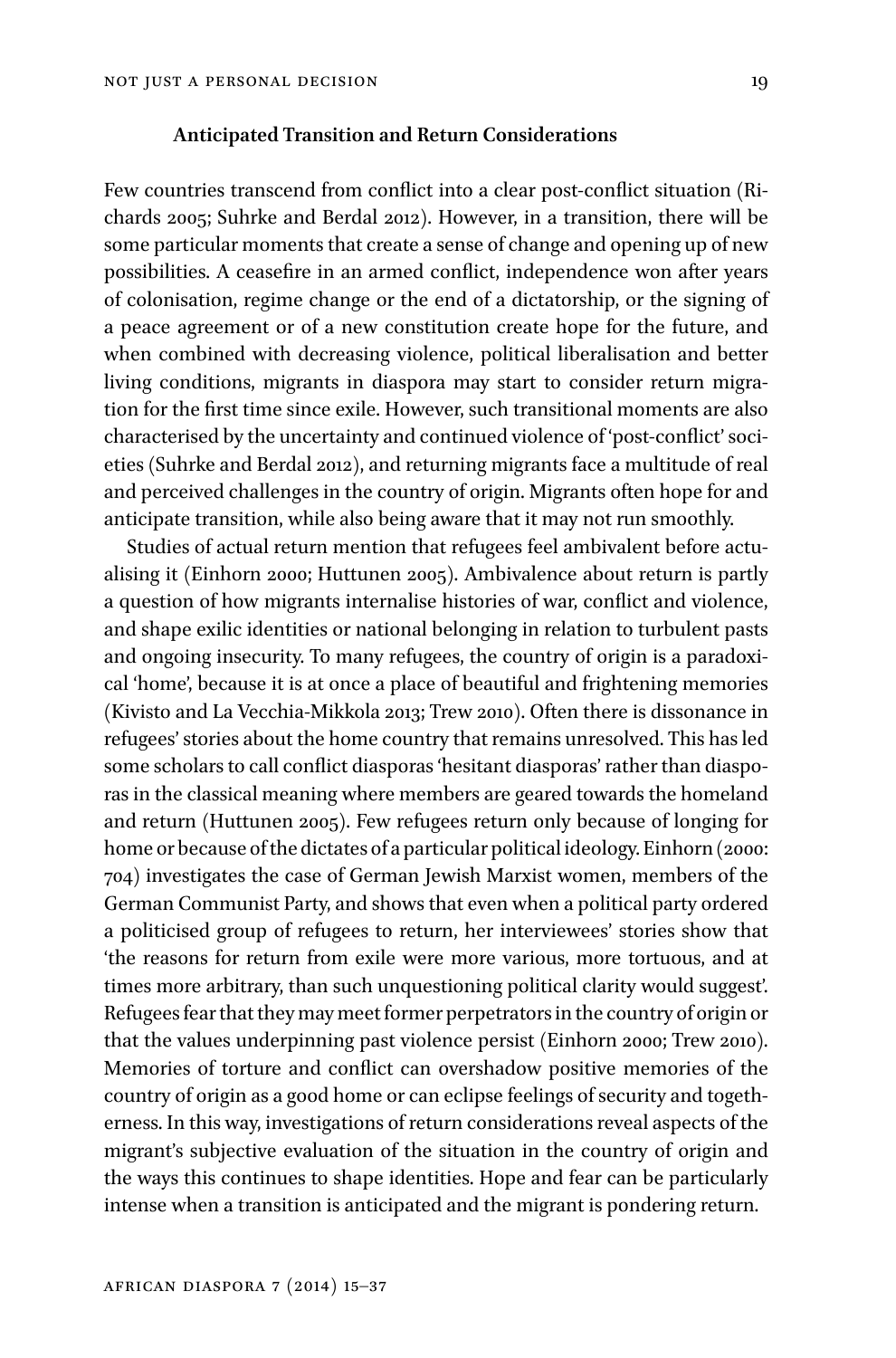### **Anticipated Transition and Return Considerations**

Few countries transcend from conflict into a clear post-conflict situation (Richards 2005; Suhrke and Berdal 2012). However, in a transition, there will be some particular moments that create a sense of change and opening up of new possibilities. A ceasefire in an armed conflict, independence won after years of colonisation, regime change or the end of a dictatorship, or the signing of a peace agreement or of a new constitution create hope for the future, and when combined with decreasing violence, political liberalisation and better living conditions, migrants in diaspora may start to consider return migration for the first time since exile. However, such transitional moments are also characterised by the uncertainty and continued violence of 'post-conflict' societies (Suhrke and Berdal 2012), and returning migrants face a multitude of real and perceived challenges in the country of origin. Migrants often hope for and anticipate transition, while also being aware that it may not run smoothly.

Studies of actual return mention that refugees feel ambivalent before actualising it (Einhorn 2000; Huttunen 2005). Ambivalence about return is partly a question of how migrants internalise histories of war, conflict and violence, and shape exilic identities or national belonging in relation to turbulent pasts and ongoing insecurity. To many refugees, the country of origin is a paradoxical 'home', because it is at once a place of beautiful and frightening memories (Kivisto and La Vecchia-Mikkola 2013; Trew 2010). Often there is dissonance in refugees' stories about the home country that remains unresolved. This has led some scholars to call conflict diasporas 'hesitant diasporas' rather than diasporas in the classical meaning where members are geared towards the homeland and return (Huttunen 2005). Few refugees return only because of longing for home or because of the dictates of a particular political ideology. Einhorn (2000: 704) investigates the case of German Jewish Marxist women, members of the German Communist Party, and shows that even when a political party ordered a politicised group of refugees to return, her interviewees' stories show that 'the reasons for return from exile were more various, more tortuous, and at times more arbitrary, than such unquestioning political clarity would suggest'. Refugees fear that they may meet former perpetrators in the country of origin or that the values underpinning past violence persist (Einhorn 2000; Trew 2010). Memories of torture and conflict can overshadow positive memories of the country of origin as a good home or can eclipse feelings of security and togetherness. In this way, investigations of return considerations reveal aspects of the migrant's subjective evaluation of the situation in the country of origin and the ways this continues to shape identities. Hope and fear can be particularly intense when a transition is anticipated and the migrant is pondering return.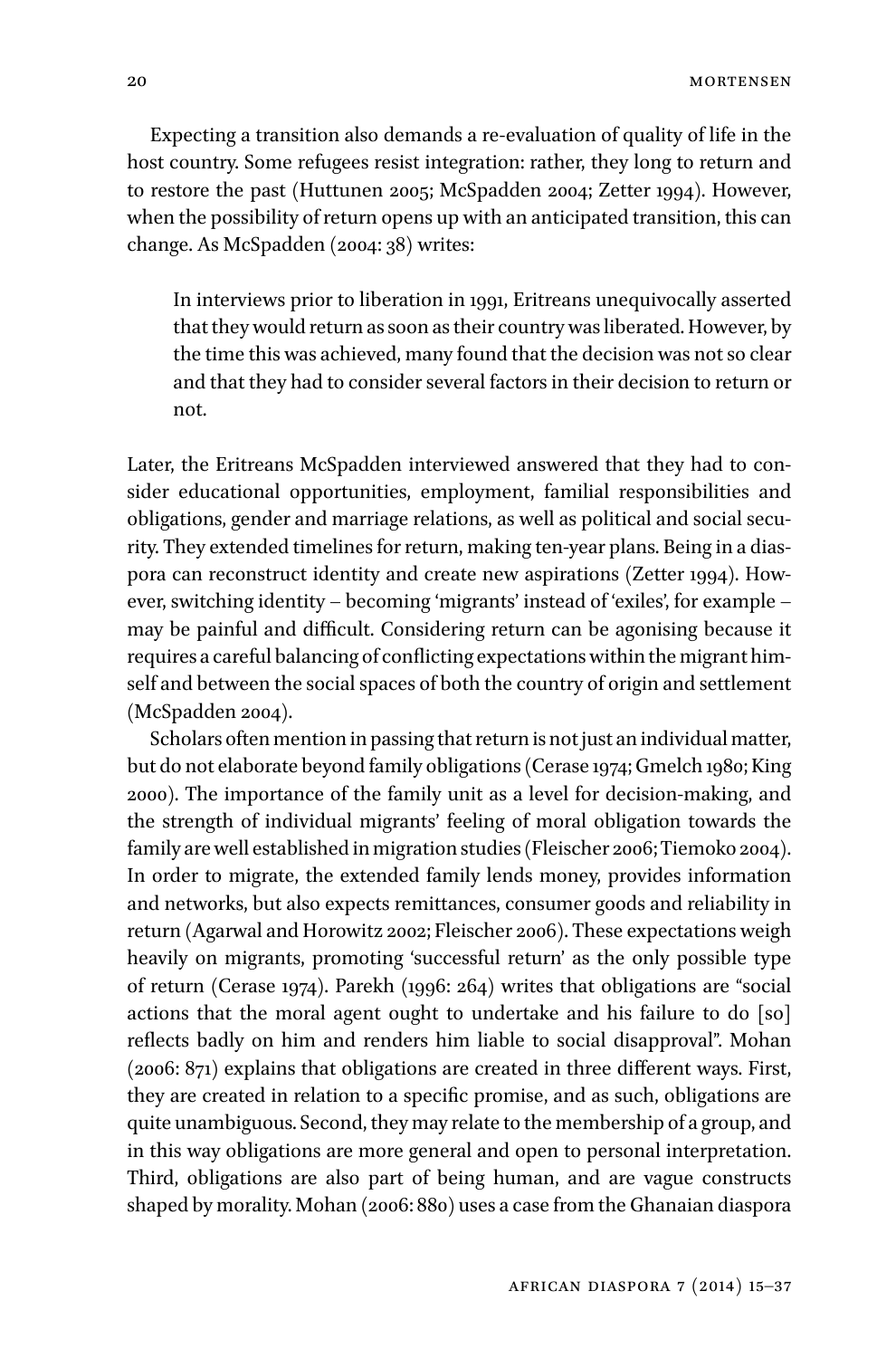Expecting a transition also demands a re-evaluation of quality of life in the host country. Some refugees resist integration: rather, they long to return and to restore the past (Huttunen 2005; McSpadden 2004; Zetter 1994). However, when the possibility of return opens up with an anticipated transition, this can change. As McSpadden (2004: 38) writes:

In interviews prior to liberation in 1991, Eritreans unequivocally asserted that they would return as soon as their country was liberated. However, by the time this was achieved, many found that the decision was not so clear and that they had to consider several factors in their decision to return or not.

Later, the Eritreans McSpadden interviewed answered that they had to consider educational opportunities, employment, familial responsibilities and obligations, gender and marriage relations, as well as political and social security. They extended timelines for return, making ten-year plans. Being in a diaspora can reconstruct identity and create new aspirations (Zetter 1994). However, switching identity – becoming 'migrants' instead of 'exiles', for example – may be painful and difficult. Considering return can be agonising because it requires a careful balancing of conflicting expectationswithin the migrant himself and between the social spaces of both the country of origin and settlement (McSpadden 2004).

Scholars often mention in passing that return is not just an individual matter, but do not elaborate beyond family obligations (Cerase 1974; Gmelch 1980; King 2000). The importance of the family unit as a level for decision-making, and the strength of individual migrants' feeling of moral obligation towards the family are well established in migration studies (Fleischer 2006; Tiemoko 2004). In order to migrate, the extended family lends money, provides information and networks, but also expects remittances, consumer goods and reliability in return (Agarwal and Horowitz 2002; Fleischer 2006). These expectations weigh heavily on migrants, promoting 'successful return' as the only possible type of return (Cerase 1974). Parekh (1996: 264) writes that obligations are "social actions that the moral agent ought to undertake and his failure to do [so] reflects badly on him and renders him liable to social disapproval". Mohan (2006: 871) explains that obligations are created in three different ways. First, they are created in relation to a specific promise, and as such, obligations are quite unambiguous. Second, they may relate to the membership of a group, and in this way obligations are more general and open to personal interpretation. Third, obligations are also part of being human, and are vague constructs shaped by morality. Mohan (2006: 880) uses a case from the Ghanaian diaspora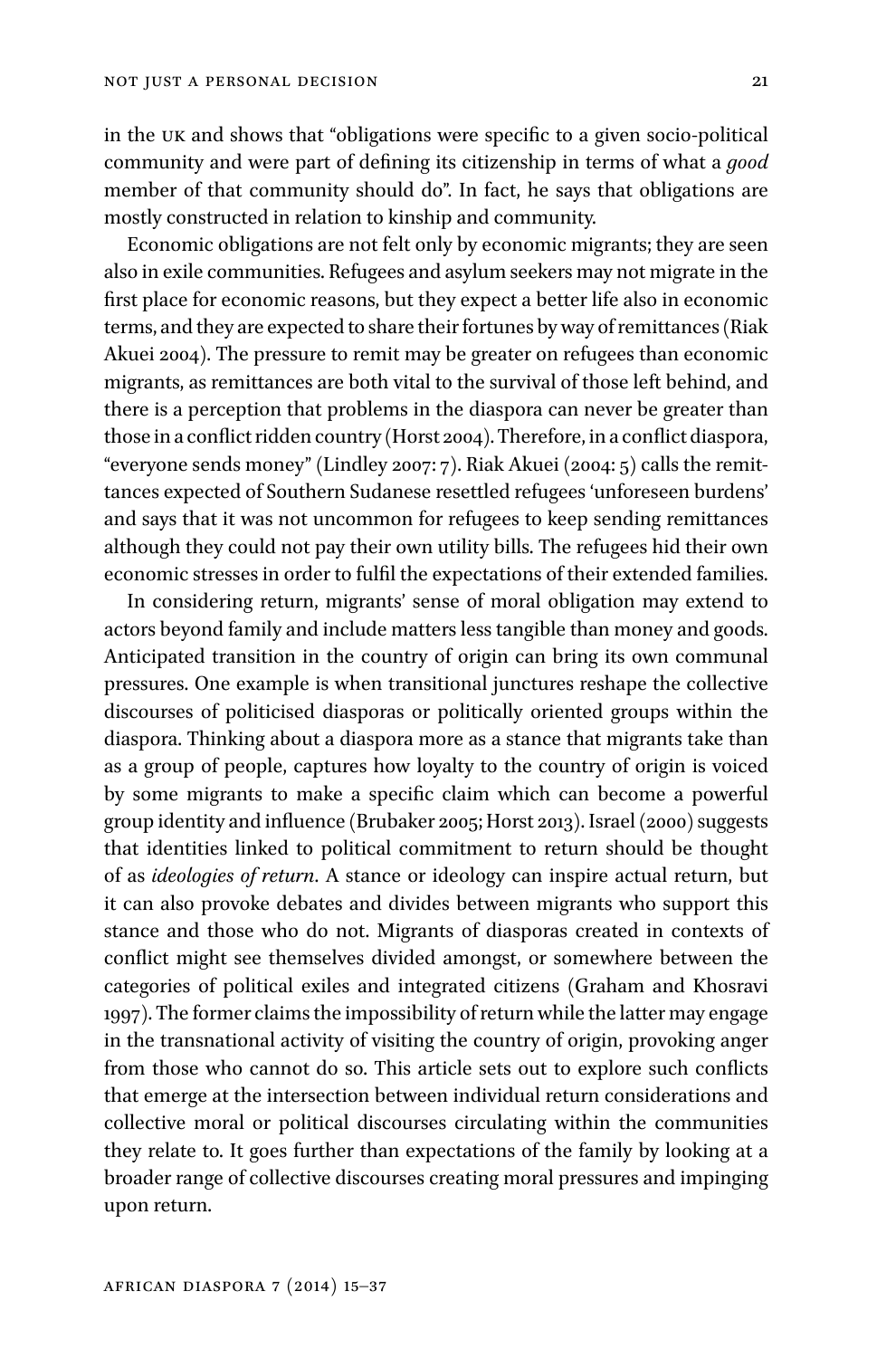in the uk and shows that "obligations were specific to a given socio-political community and were part of defining its citizenship in terms of what a *good* member of that community should do". In fact, he says that obligations are mostly constructed in relation to kinship and community.

Economic obligations are not felt only by economic migrants; they are seen also in exile communities. Refugees and asylum seekers may not migrate in the first place for economic reasons, but they expect a better life also in economic terms, and they are expected to share their fortunes by way of remittances (Riak Akuei 2004). The pressure to remit may be greater on refugees than economic migrants, as remittances are both vital to the survival of those left behind, and there is a perception that problems in the diaspora can never be greater than those in a conflict ridden country (Horst 2004). Therefore, in a conflict diaspora, "everyone sends money" (Lindley 2007: 7). Riak Akuei (2004: 5) calls the remittances expected of Southern Sudanese resettled refugees 'unforeseen burdens' and says that it was not uncommon for refugees to keep sending remittances although they could not pay their own utility bills. The refugees hid their own economic stresses in order to fulfil the expectations of their extended families.

In considering return, migrants' sense of moral obligation may extend to actors beyond family and include matters less tangible than money and goods. Anticipated transition in the country of origin can bring its own communal pressures. One example is when transitional junctures reshape the collective discourses of politicised diasporas or politically oriented groups within the diaspora. Thinking about a diaspora more as a stance that migrants take than as a group of people, captures how loyalty to the country of origin is voiced by some migrants to make a specific claim which can become a powerful group identity and influence (Brubaker 2005; Horst 2013). Israel (2000) suggests that identities linked to political commitment to return should be thought of as *ideologies of return*. A stance or ideology can inspire actual return, but it can also provoke debates and divides between migrants who support this stance and those who do not. Migrants of diasporas created in contexts of conflict might see themselves divided amongst, or somewhere between the categories of political exiles and integrated citizens (Graham and Khosravi 1997). The former claims the impossibility of return while the latter may engage in the transnational activity of visiting the country of origin, provoking anger from those who cannot do so. This article sets out to explore such conflicts that emerge at the intersection between individual return considerations and collective moral or political discourses circulating within the communities they relate to. It goes further than expectations of the family by looking at a broader range of collective discourses creating moral pressures and impinging upon return.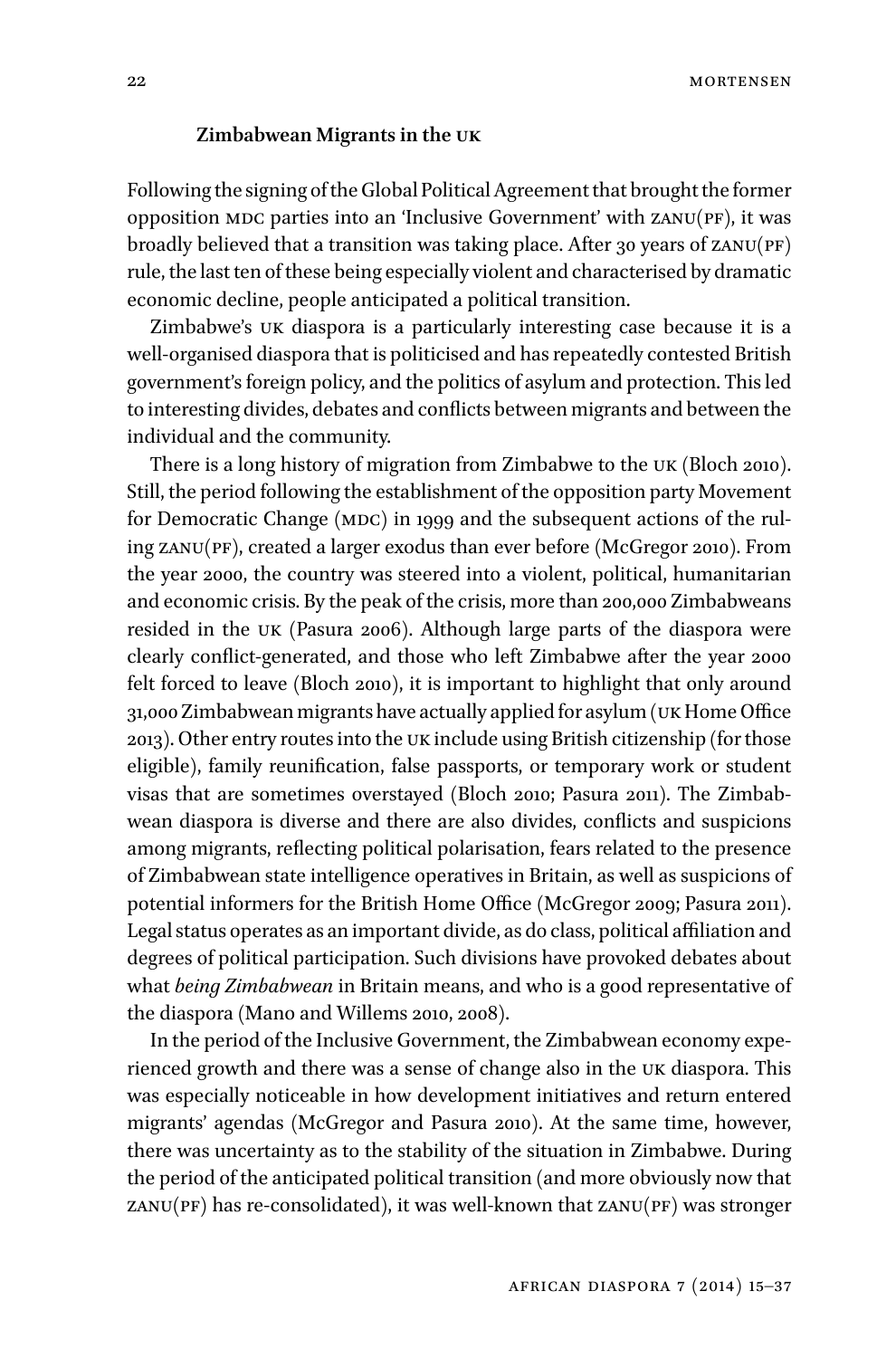#### **Zimbabwean Migrants in the uk**

Following the signing of the Global Political Agreement that brought the former opposition MDC parties into an 'Inclusive Government' with ZANU(PF), it was broadly believed that a transition was taking place. After 30 years of ZANU(PF) rule, the last ten of these being especially violent and characterised by dramatic economic decline, people anticipated a political transition.

Zimbabwe's uk diaspora is a particularly interesting case because it is a well-organised diaspora that is politicised and has repeatedly contested British government's foreign policy, and the politics of asylum and protection. This led to interesting divides, debates and conflicts between migrants and between the individual and the community.

There is a long history of migration from Zimbabwe to the uk (Bloch 2010). Still, the period following the establishment of the opposition party Movement for Democratic Change (MDC) in 1999 and the subsequent actions of the ruling zanu(pf), created a larger exodus than ever before (McGregor 2010). From the year 2000, the country was steered into a violent, political, humanitarian and economic crisis. By the peak of the crisis, more than 200,000 Zimbabweans resided in the uk (Pasura 2006). Although large parts of the diaspora were clearly conflict-generated, and those who left Zimbabwe after the year 2000 felt forced to leave (Bloch 2010), it is important to highlight that only around 31,000 Zimbabwean migrants have actually applied for asylum (uk Home Office 2013). Other entry routes into the uk include using British citizenship (for those eligible), family reunification, false passports, or temporary work or student visas that are sometimes overstayed (Bloch 2010; Pasura 2011). The Zimbabwean diaspora is diverse and there are also divides, conflicts and suspicions among migrants, reflecting political polarisation, fears related to the presence of Zimbabwean state intelligence operatives in Britain, as well as suspicions of potential informers for the British Home Office (McGregor 2009; Pasura 2011). Legal status operates as an important divide, as do class, political affiliation and degrees of political participation. Such divisions have provoked debates about what *being Zimbabwean* in Britain means, and who is a good representative of the diaspora (Mano and Willems 2010, 2008).

In the period of the Inclusive Government, the Zimbabwean economy experienced growth and there was a sense of change also in the uk diaspora. This was especially noticeable in how development initiatives and return entered migrants' agendas (McGregor and Pasura 2010). At the same time, however, there was uncertainty as to the stability of the situation in Zimbabwe. During the period of the anticipated political transition (and more obviously now that  $ZANU(PF)$  has re-consolidated), it was well-known that  $ZANU(PF)$  was stronger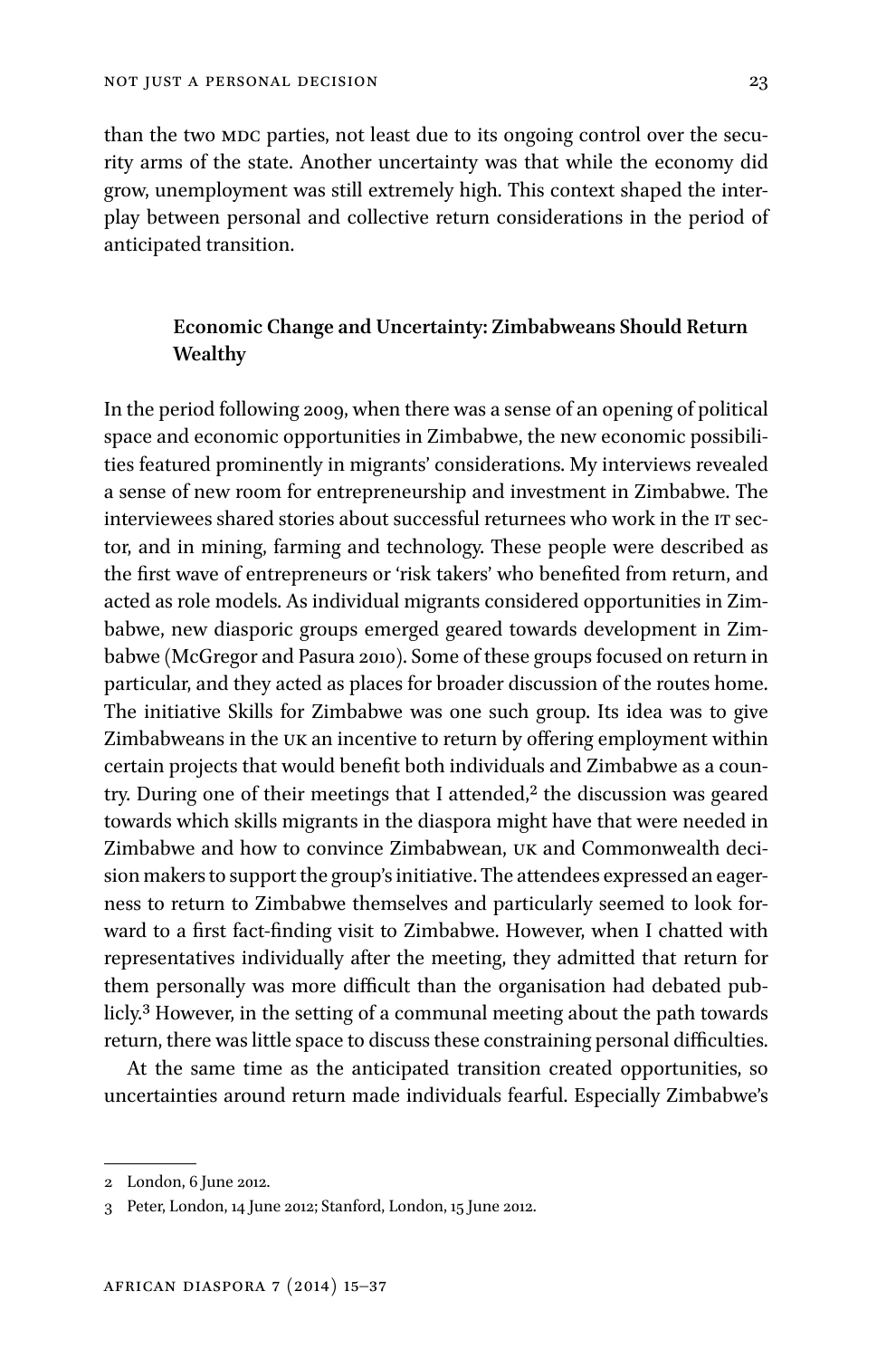than the two MDC parties, not least due to its ongoing control over the security arms of the state. Another uncertainty was that while the economy did grow, unemployment was still extremely high. This context shaped the interplay between personal and collective return considerations in the period of anticipated transition.

# **Economic Change and Uncertainty: Zimbabweans Should Return Wealthy**

In the period following 2009, when there was a sense of an opening of political space and economic opportunities in Zimbabwe, the new economic possibilities featured prominently in migrants' considerations. My interviews revealed a sense of new room for entrepreneurship and investment in Zimbabwe. The interviewees shared stories about successful returnees who work in the IT sector, and in mining, farming and technology. These people were described as the first wave of entrepreneurs or 'risk takers' who benefited from return, and acted as role models. As individual migrants considered opportunities in Zimbabwe, new diasporic groups emerged geared towards development in Zimbabwe (McGregor and Pasura 2010). Some of these groups focused on return in particular, and they acted as places for broader discussion of the routes home. The initiative Skills for Zimbabwe was one such group. Its idea was to give Zimbabweans in the uk an incentive to return by offering employment within certain projects that would benefit both individuals and Zimbabwe as a country. During one of their meetings that I attended,<sup>2</sup> the discussion was geared towards which skills migrants in the diaspora might have that were needed in Zimbabwe and how to convince Zimbabwean, uk and Commonwealth decision makers to support the group's initiative. The attendees expressed an eagerness to return to Zimbabwe themselves and particularly seemed to look forward to a first fact-finding visit to Zimbabwe. However, when I chatted with representatives individually after the meeting, they admitted that return for them personally was more difficult than the organisation had debated publicly.<sup>3</sup> However, in the setting of a communal meeting about the path towards return, there was little space to discuss these constraining personal difficulties.

At the same time as the anticipated transition created opportunities, so uncertainties around return made individuals fearful. Especially Zimbabwe's

<sup>2</sup> London, 6 June 2012.

<sup>3</sup> Peter, London, 14 June 2012; Stanford, London, 15 June 2012.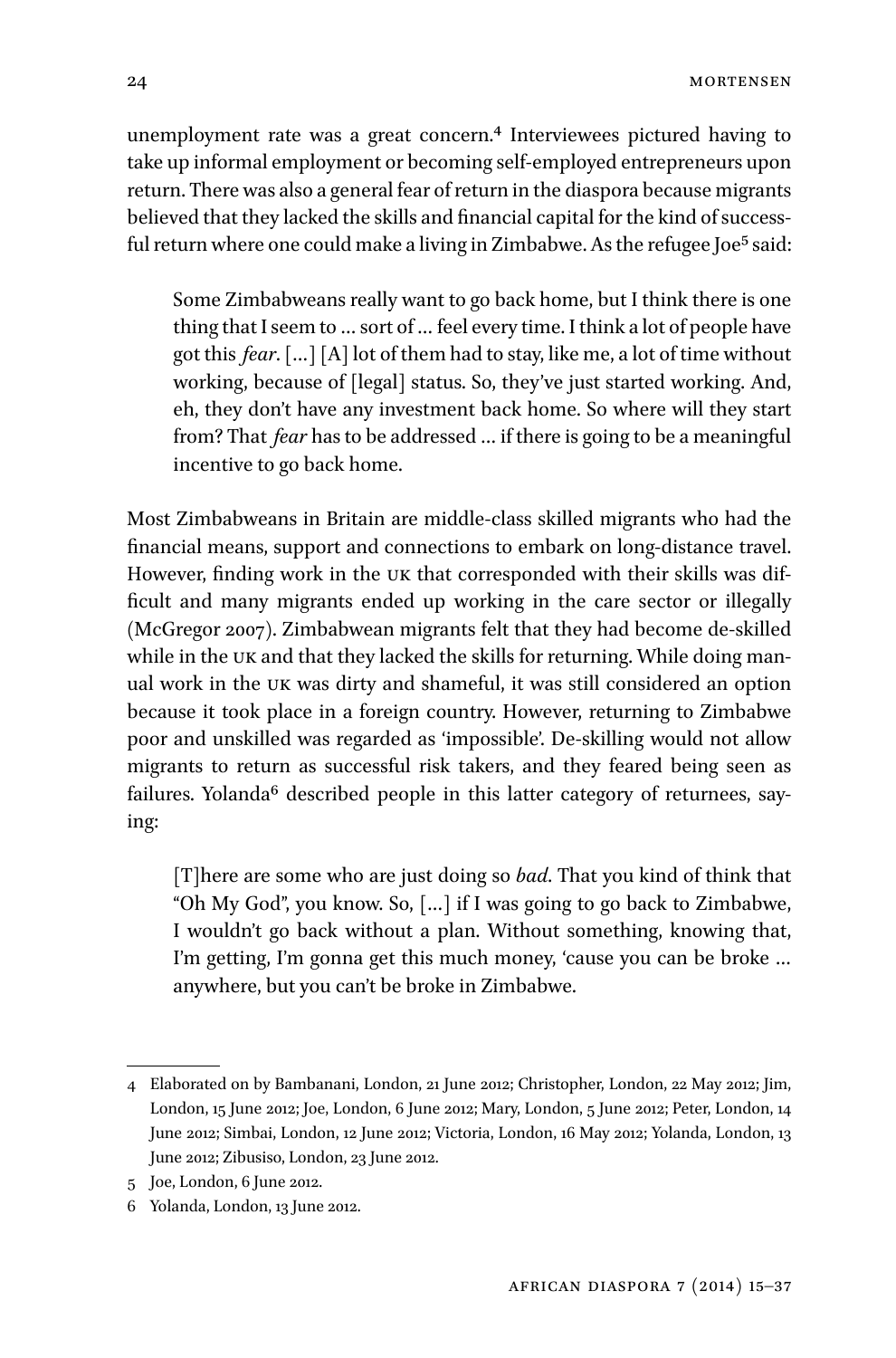unemployment rate was a great concern.4 Interviewees pictured having to take up informal employment or becoming self-employed entrepreneurs upon return. There was also a general fear of return in the diaspora because migrants believed that they lacked the skills and financial capital for the kind of successful return where one could make a living in Zimbabwe. As the refugee Joe<sup>5</sup> said:

Some Zimbabweans really want to go back home, but I think there is one thing that I seem to … sort of … feel every time. I think a lot of people have got this *fear*. […] [A] lot of them had to stay, like me, a lot of time without working, because of [legal] status. So, they've just started working. And, eh, they don't have any investment back home. So where will they start from? That *fear* has to be addressed … if there is going to be a meaningful incentive to go back home.

Most Zimbabweans in Britain are middle-class skilled migrants who had the financial means, support and connections to embark on long-distance travel. However, finding work in the uk that corresponded with their skills was difficult and many migrants ended up working in the care sector or illegally (McGregor 2007). Zimbabwean migrants felt that they had become de-skilled while in the UK and that they lacked the skills for returning. While doing manual work in the uk was dirty and shameful, it was still considered an option because it took place in a foreign country. However, returning to Zimbabwe poor and unskilled was regarded as 'impossible'. De-skilling would not allow migrants to return as successful risk takers, and they feared being seen as failures. Yolanda<sup>6</sup> described people in this latter category of returnees, saying:

[T]here are some who are just doing so *bad*. That you kind of think that "Oh My God", you know. So, […] if I was going to go back to Zimbabwe, I wouldn't go back without a plan. Without something, knowing that, I'm getting, I'm gonna get this much money, 'cause you can be broke … anywhere, but you can't be broke in Zimbabwe.

<sup>4</sup> Elaborated on by Bambanani, London, 21 June 2012; Christopher, London, 22 May 2012; Jim, London, 15 June 2012; Joe, London, 6 June 2012; Mary, London, 5 June 2012; Peter, London, 14 June 2012; Simbai, London, 12 June 2012; Victoria, London, 16 May 2012; Yolanda, London, 13 June 2012; Zibusiso, London, 23 June 2012.

<sup>5</sup> Joe, London, 6 June 2012.

<sup>6</sup> Yolanda, London, 13 June 2012.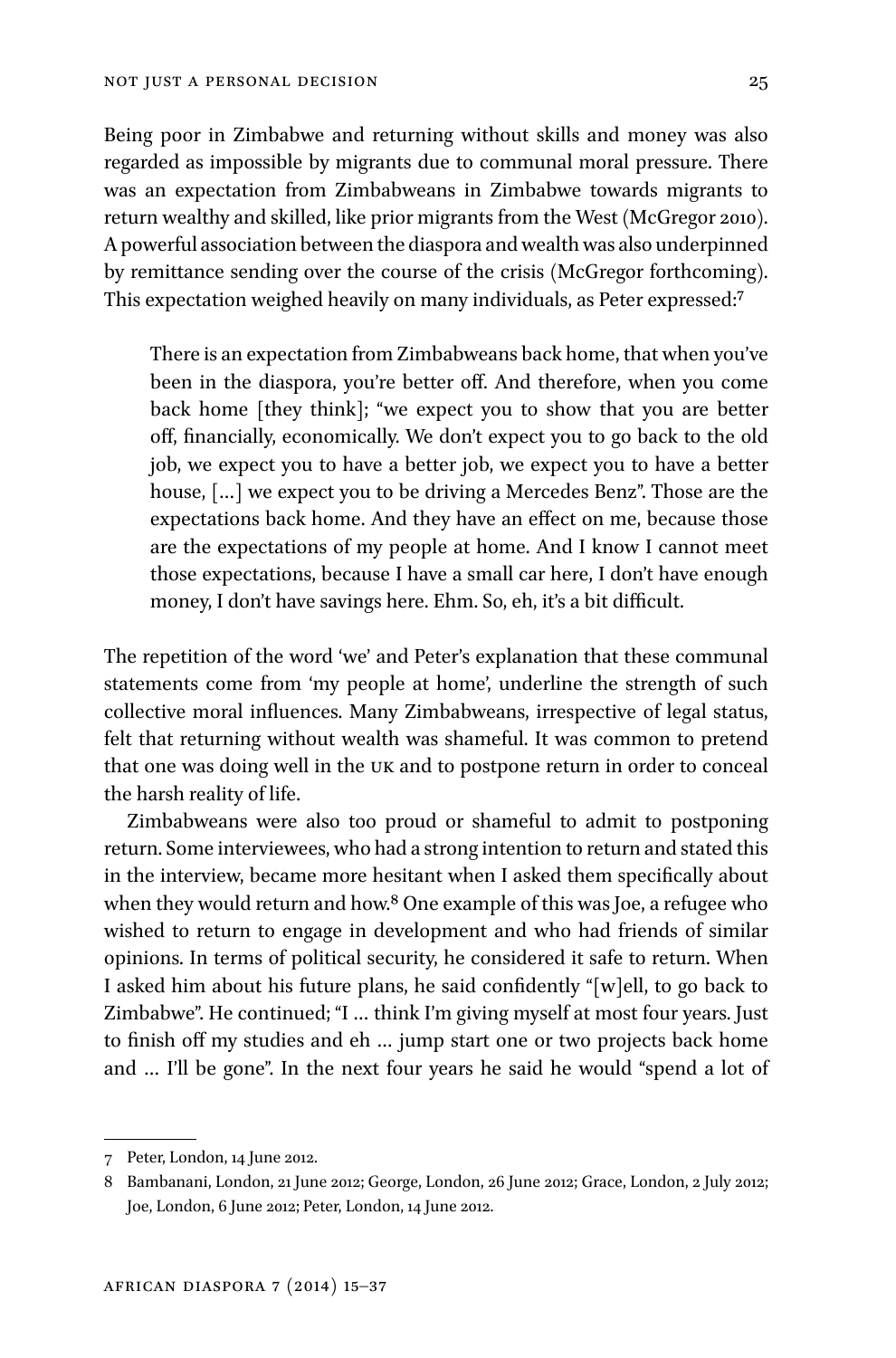Being poor in Zimbabwe and returning without skills and money was also regarded as impossible by migrants due to communal moral pressure. There was an expectation from Zimbabweans in Zimbabwe towards migrants to return wealthy and skilled, like prior migrants from the West (McGregor 2010). A powerful association between the diaspora and wealth was also underpinned by remittance sending over the course of the crisis (McGregor forthcoming). This expectation weighed heavily on many individuals, as Peter expressed:<sup>7</sup>

There is an expectation from Zimbabweans back home, that when you've been in the diaspora, you're better off. And therefore, when you come back home [they think]; "we expect you to show that you are better off, financially, economically. We don't expect you to go back to the old job, we expect you to have a better job, we expect you to have a better house, […] we expect you to be driving a Mercedes Benz". Those are the expectations back home. And they have an effect on me, because those are the expectations of my people at home. And I know I cannot meet those expectations, because I have a small car here, I don't have enough money, I don't have savings here. Ehm. So, eh, it's a bit difficult.

The repetition of the word 'we' and Peter's explanation that these communal statements come from 'my people at home', underline the strength of such collective moral influences. Many Zimbabweans, irrespective of legal status, felt that returning without wealth was shameful. It was common to pretend that one was doing well in the uk and to postpone return in order to conceal the harsh reality of life.

Zimbabweans were also too proud or shameful to admit to postponing return. Some interviewees, who had a strong intention to return and stated this in the interview, became more hesitant when I asked them specifically about when they would return and how.<sup>8</sup> One example of this was Joe, a refugee who wished to return to engage in development and who had friends of similar opinions. In terms of political security, he considered it safe to return. When I asked him about his future plans, he said confidently "[w]ell, to go back to Zimbabwe". He continued; "I … think I'm giving myself at most four years. Just to finish off my studies and eh … jump start one or two projects back home and … I'll be gone". In the next four years he said he would "spend a lot of

<sup>7</sup> Peter, London, 14 June 2012.

<sup>8</sup> Bambanani, London, 21 June 2012; George, London, 26 June 2012; Grace, London, 2 July 2012; Joe, London, 6 June 2012; Peter, London, 14 June 2012.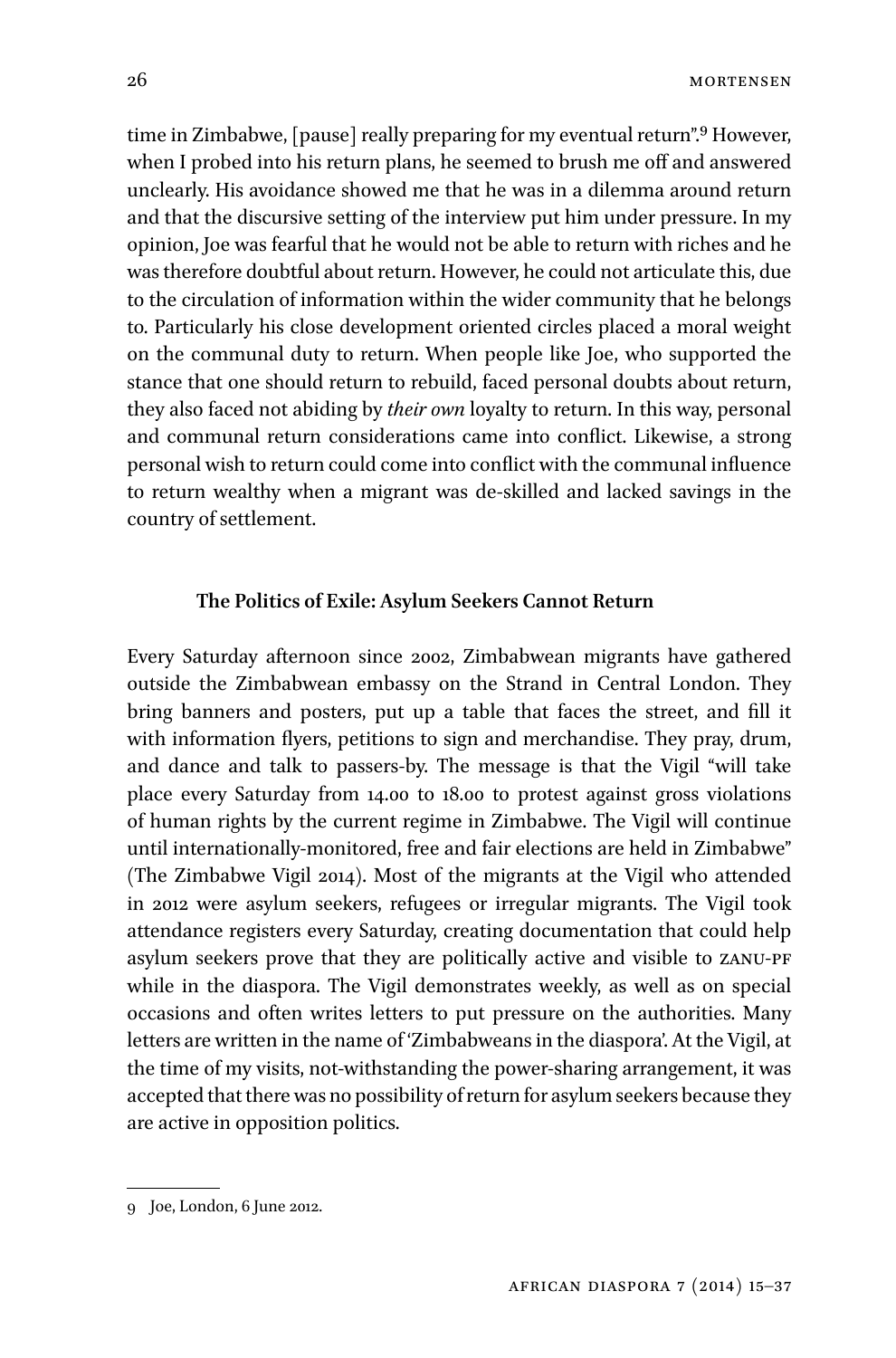time in Zimbabwe, [pause] really preparing for my eventual return".9 However, when I probed into his return plans, he seemed to brush me off and answered unclearly. His avoidance showed me that he was in a dilemma around return and that the discursive setting of the interview put him under pressure. In my opinion, Joe was fearful that he would not be able to return with riches and he was therefore doubtful about return. However, he could not articulate this, due to the circulation of information within the wider community that he belongs to. Particularly his close development oriented circles placed a moral weight on the communal duty to return. When people like Joe, who supported the stance that one should return to rebuild, faced personal doubts about return, they also faced not abiding by *their own* loyalty to return. In this way, personal and communal return considerations came into conflict. Likewise, a strong personal wish to return could come into conflict with the communal influence to return wealthy when a migrant was de-skilled and lacked savings in the country of settlement.

### **The Politics of Exile: Asylum Seekers Cannot Return**

Every Saturday afternoon since 2002, Zimbabwean migrants have gathered outside the Zimbabwean embassy on the Strand in Central London. They bring banners and posters, put up a table that faces the street, and fill it with information flyers, petitions to sign and merchandise. They pray, drum, and dance and talk to passers-by. The message is that the Vigil "will take place every Saturday from 14.00 to 18.00 to protest against gross violations of human rights by the current regime in Zimbabwe. The Vigil will continue until internationally-monitored, free and fair elections are held in Zimbabwe" (The Zimbabwe Vigil 2014). Most of the migrants at the Vigil who attended in 2012 were asylum seekers, refugees or irregular migrants. The Vigil took attendance registers every Saturday, creating documentation that could help asylum seekers prove that they are politically active and visible to zanu-pf while in the diaspora. The Vigil demonstrates weekly, as well as on special occasions and often writes letters to put pressure on the authorities. Many letters are written in the name of 'Zimbabweans in the diaspora'. At the Vigil, at the time of my visits, not-withstanding the power-sharing arrangement, it was accepted that there was no possibility of return for asylum seekers because they are active in opposition politics.

<sup>9</sup> Joe, London, 6 June 2012.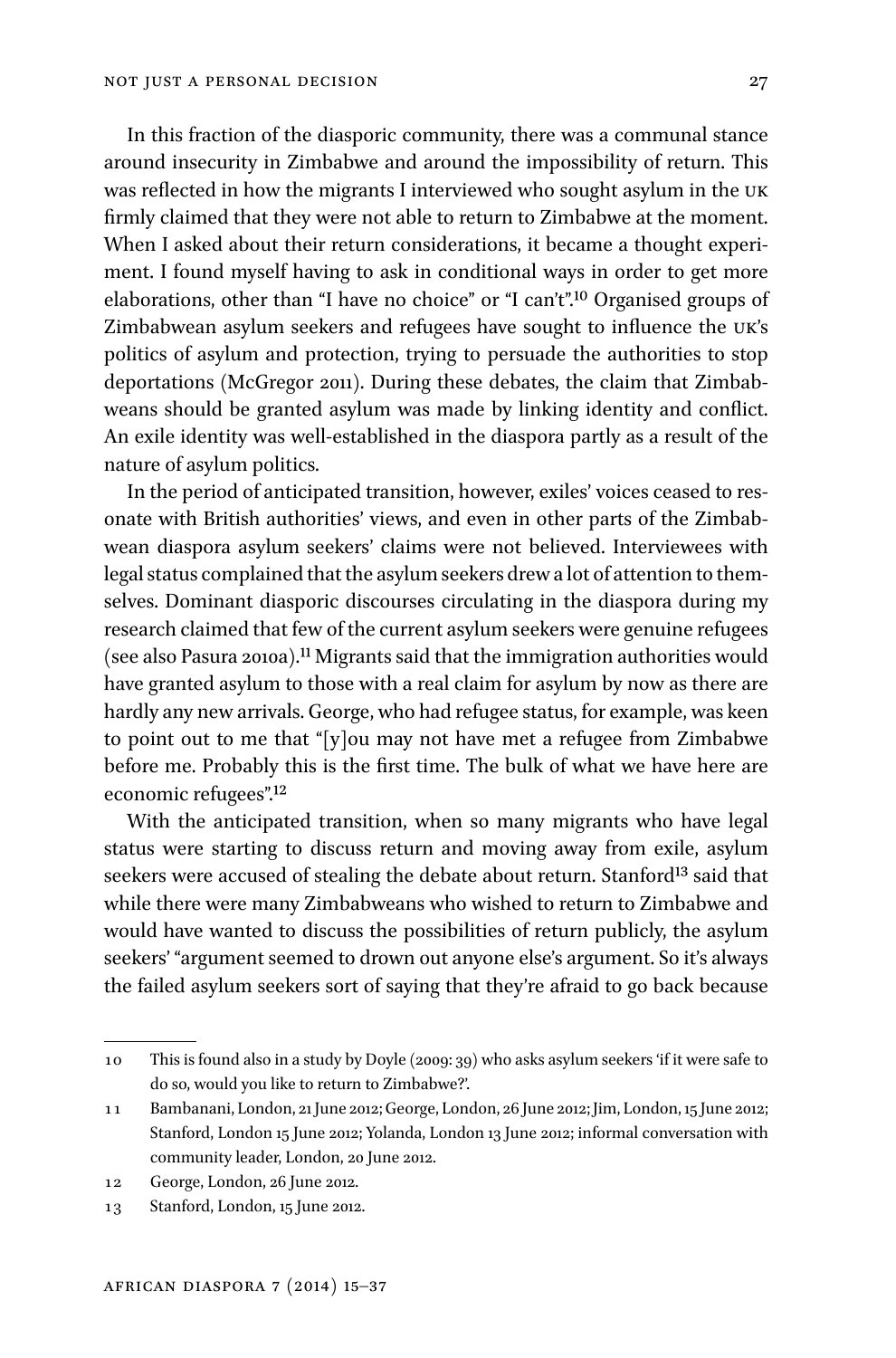In this fraction of the diasporic community, there was a communal stance around insecurity in Zimbabwe and around the impossibility of return. This was reflected in how the migrants I interviewed who sought asylum in the uk firmly claimed that they were not able to return to Zimbabwe at the moment. When I asked about their return considerations, it became a thought experiment. I found myself having to ask in conditional ways in order to get more elaborations, other than "I have no choice" or "I can't".10 Organised groups of Zimbabwean asylum seekers and refugees have sought to influence the uk's politics of asylum and protection, trying to persuade the authorities to stop deportations (McGregor 2011). During these debates, the claim that Zimbabweans should be granted asylum was made by linking identity and conflict. An exile identity was well-established in the diaspora partly as a result of the nature of asylum politics.

In the period of anticipated transition, however, exiles' voices ceased to resonate with British authorities' views, and even in other parts of the Zimbabwean diaspora asylum seekers' claims were not believed. Interviewees with legal status complained that the asylum seekers drew a lot of attention to themselves. Dominant diasporic discourses circulating in the diaspora during my research claimed that few of the current asylum seekers were genuine refugees (see also Pasura 2010a).11 Migrants said that the immigration authorities would have granted asylum to those with a real claim for asylum by now as there are hardly any new arrivals. George, who had refugee status, for example, was keen to point out to me that "[y]ou may not have met a refugee from Zimbabwe before me. Probably this is the first time. The bulk of what we have here are economic refugees".12

With the anticipated transition, when so many migrants who have legal status were starting to discuss return and moving away from exile, asylum seekers were accused of stealing the debate about return. Stanford<sup>13</sup> said that while there were many Zimbabweans who wished to return to Zimbabwe and would have wanted to discuss the possibilities of return publicly, the asylum seekers' "argument seemed to drown out anyone else's argument. So it's always the failed asylum seekers sort of saying that they're afraid to go back because

<sup>10</sup> This is found also in a study by Doyle (2009: 39) who asks asylum seekers 'if it were safe to do so, would you like to return to Zimbabwe?'.

<sup>11</sup> Bambanani, London, 21 June 2012; George, London, 26 June 2012; Jim, London, 15 June 2012; Stanford, London 15 June 2012; Yolanda, London 13 June 2012; informal conversation with community leader, London, 20 June 2012.

<sup>12</sup> George, London, 26 June 2012.

<sup>13</sup> Stanford, London, 15 June 2012.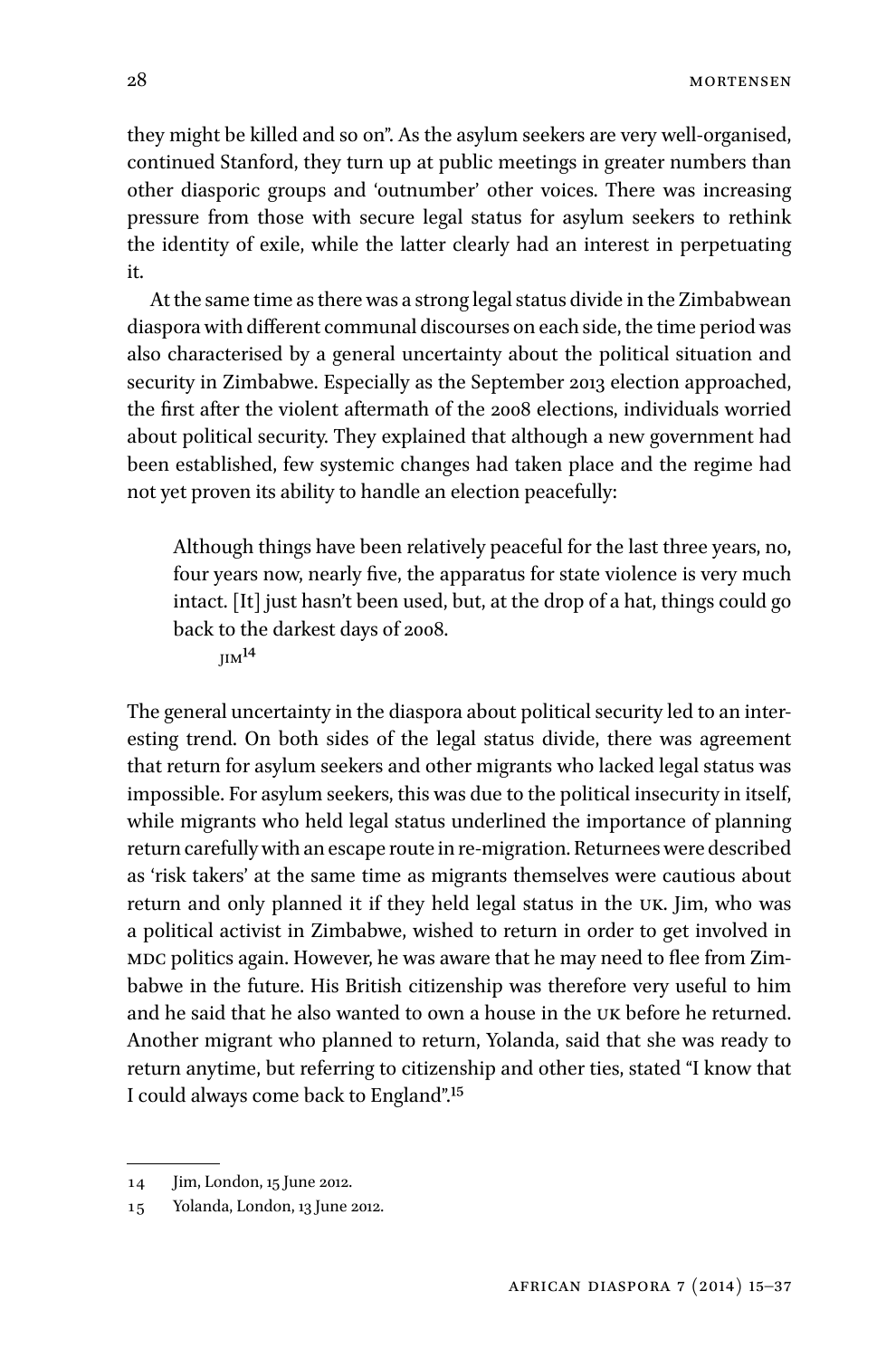they might be killed and so on". As the asylum seekers are very well-organised, continued Stanford, they turn up at public meetings in greater numbers than other diasporic groups and 'outnumber' other voices. There was increasing pressure from those with secure legal status for asylum seekers to rethink the identity of exile, while the latter clearly had an interest in perpetuating it.

At the same time as there was a strong legal status divide in the Zimbabwean diaspora with different communal discourses on each side, the time period was also characterised by a general uncertainty about the political situation and security in Zimbabwe. Especially as the September 2013 election approached, the first after the violent aftermath of the 2008 elections, individuals worried about political security. They explained that although a new government had been established, few systemic changes had taken place and the regime had not yet proven its ability to handle an election peacefully:

Although things have been relatively peaceful for the last three years, no, four years now, nearly five, the apparatus for state violence is very much intact. [It] just hasn't been used, but, at the drop of a hat, things could go back to the darkest days of 2008.

 $\text{lim}^{14}$ 

The general uncertainty in the diaspora about political security led to an interesting trend. On both sides of the legal status divide, there was agreement that return for asylum seekers and other migrants who lacked legal status was impossible. For asylum seekers, this was due to the political insecurity in itself, while migrants who held legal status underlined the importance of planning return carefully with an escape route in re-migration. Returnees were described as 'risk takers' at the same time as migrants themselves were cautious about return and only planned it if they held legal status in the uk. Jim, who was a political activist in Zimbabwe, wished to return in order to get involved in MDC politics again. However, he was aware that he may need to flee from Zimbabwe in the future. His British citizenship was therefore very useful to him and he said that he also wanted to own a house in the uk before he returned. Another migrant who planned to return, Yolanda, said that she was ready to return anytime, but referring to citizenship and other ties, stated "I know that I could always come back to England".15

<sup>14</sup> Jim, London, 15 June 2012.

<sup>15</sup> Yolanda, London, 13 June 2012.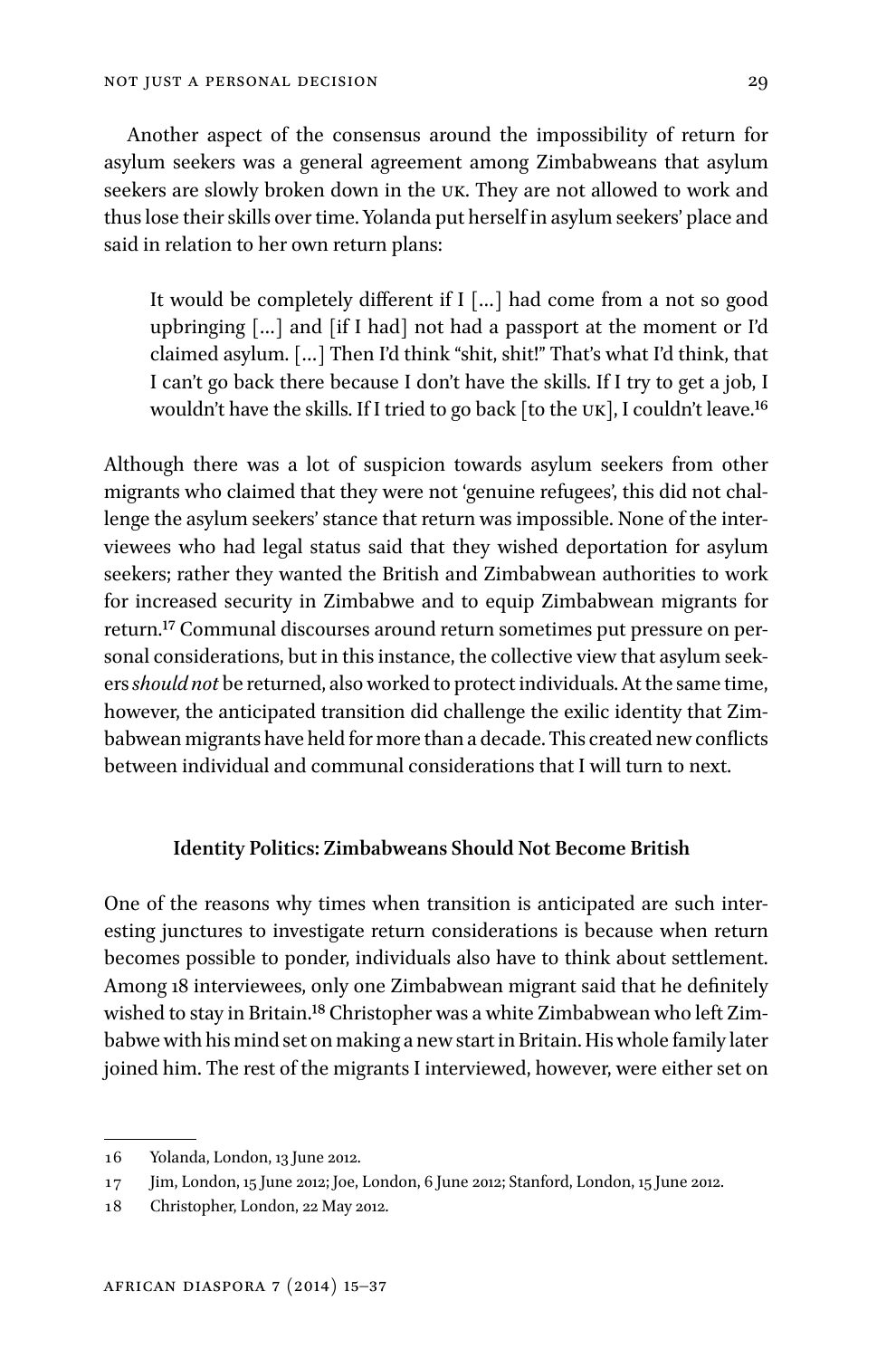Another aspect of the consensus around the impossibility of return for asylum seekers was a general agreement among Zimbabweans that asylum seekers are slowly broken down in the UK. They are not allowed to work and thus lose their skills over time. Yolanda put herself in asylum seekers' place and said in relation to her own return plans:

It would be completely different if I […] had come from a not so good upbringing […] and [if I had] not had a passport at the moment or I'd claimed asylum. […] Then I'd think "shit, shit!" That's what I'd think, that I can't go back there because I don't have the skills. If I try to get a job, I wouldn't have the skills. If I tried to go back [to the UK], I couldn't leave.<sup>16</sup>

Although there was a lot of suspicion towards asylum seekers from other migrants who claimed that they were not 'genuine refugees', this did not challenge the asylum seekers' stance that return was impossible. None of the interviewees who had legal status said that they wished deportation for asylum seekers; rather they wanted the British and Zimbabwean authorities to work for increased security in Zimbabwe and to equip Zimbabwean migrants for return.17 Communal discourses around return sometimes put pressure on personal considerations, but in this instance, the collective view that asylum seekers*should not* be returned, also worked to protect individuals. At the same time, however, the anticipated transition did challenge the exilic identity that Zimbabwean migrants have held for more than a decade. This created new conflicts between individual and communal considerations that I will turn to next.

#### **Identity Politics: Zimbabweans Should Not Become British**

One of the reasons why times when transition is anticipated are such interesting junctures to investigate return considerations is because when return becomes possible to ponder, individuals also have to think about settlement. Among 18 interviewees, only one Zimbabwean migrant said that he definitely wished to stay in Britain.<sup>18</sup> Christopher was a white Zimbabwean who left Zimbabwe with his mind set on making a new start in Britain. His whole family later joined him. The rest of the migrants I interviewed, however, were either set on

<sup>16</sup> Yolanda, London, 13 June 2012.

<sup>17</sup> Jim, London, 15 June 2012; Joe, London, 6 June 2012; Stanford, London, 15 June 2012.

<sup>18</sup> Christopher, London, 22 May 2012.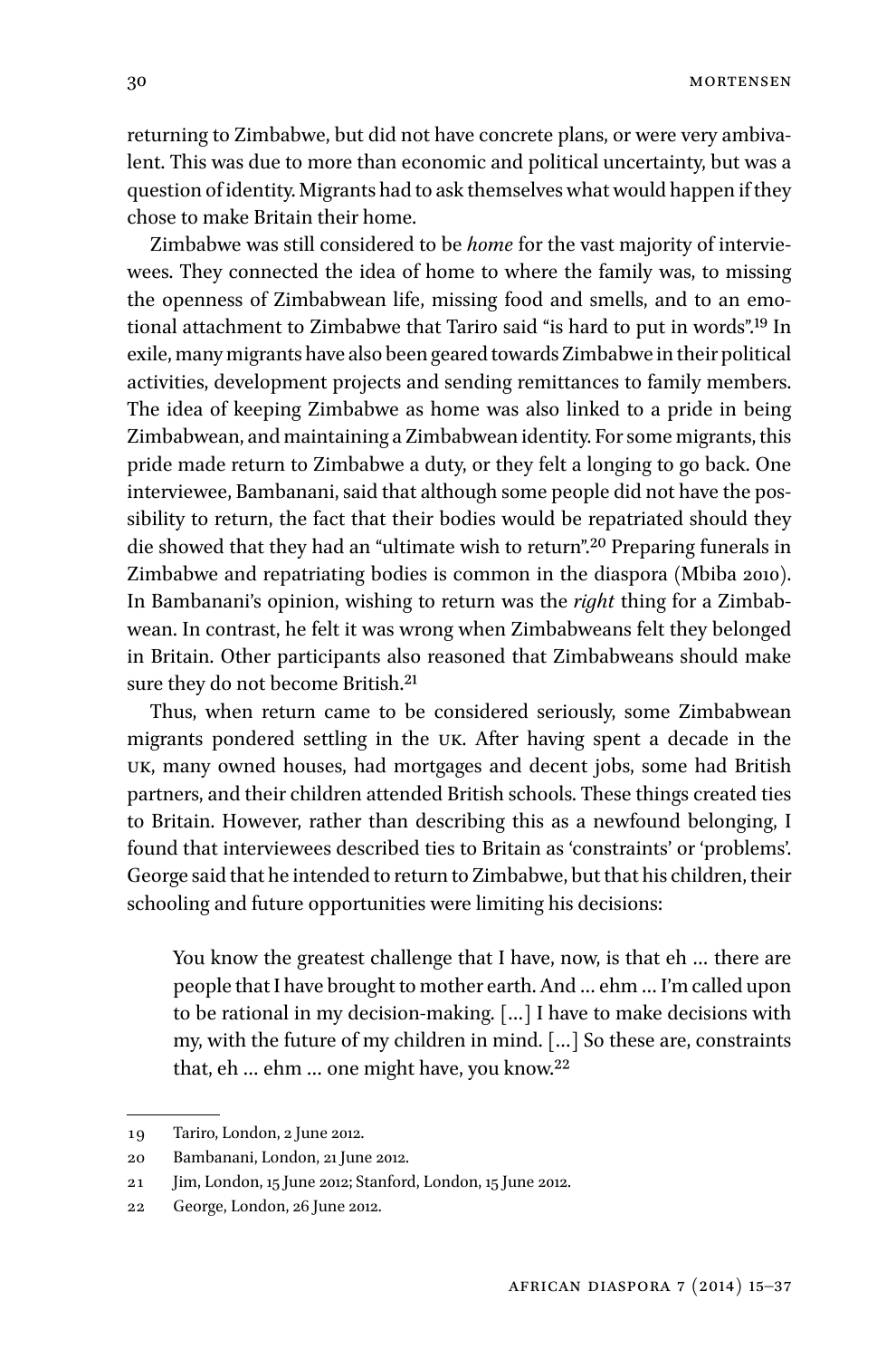returning to Zimbabwe, but did not have concrete plans, or were very ambivalent. This was due to more than economic and political uncertainty, but was a question of identity. Migrants had to ask themselves what would happen if they chose to make Britain their home.

Zimbabwe was still considered to be *home* for the vast majority of interviewees. They connected the idea of home to where the family was, to missing the openness of Zimbabwean life, missing food and smells, and to an emotional attachment to Zimbabwe that Tariro said "is hard to put in words".19 In exile, many migrants have also been geared towards Zimbabwe in their political activities, development projects and sending remittances to family members. The idea of keeping Zimbabwe as home was also linked to a pride in being Zimbabwean, and maintaining a Zimbabwean identity. For some migrants, this pride made return to Zimbabwe a duty, or they felt a longing to go back. One interviewee, Bambanani, said that although some people did not have the possibility to return, the fact that their bodies would be repatriated should they die showed that they had an "ultimate wish to return".20 Preparing funerals in Zimbabwe and repatriating bodies is common in the diaspora (Mbiba 2010). In Bambanani's opinion, wishing to return was the *right* thing for a Zimbabwean. In contrast, he felt it was wrong when Zimbabweans felt they belonged in Britain. Other participants also reasoned that Zimbabweans should make sure they do not become British.21

Thus, when return came to be considered seriously, some Zimbabwean migrants pondered settling in the uk. After having spent a decade in the uk, many owned houses, had mortgages and decent jobs, some had British partners, and their children attended British schools. These things created ties to Britain. However, rather than describing this as a newfound belonging, I found that interviewees described ties to Britain as 'constraints' or 'problems'. George said that he intended to return to Zimbabwe, but that his children, their schooling and future opportunities were limiting his decisions:

You know the greatest challenge that I have, now, is that eh … there are people that I have brought to mother earth. And … ehm … I'm called upon to be rational in my decision-making. […] I have to make decisions with my, with the future of my children in mind. […] So these are, constraints that, eh … ehm … one might have, you know.22

<sup>19</sup> Tariro, London, 2 June 2012.

<sup>20</sup> Bambanani, London, 21 June 2012.

<sup>21</sup> Jim, London, 15 June 2012; Stanford, London, 15 June 2012.

<sup>22</sup> George, London, 26 June 2012.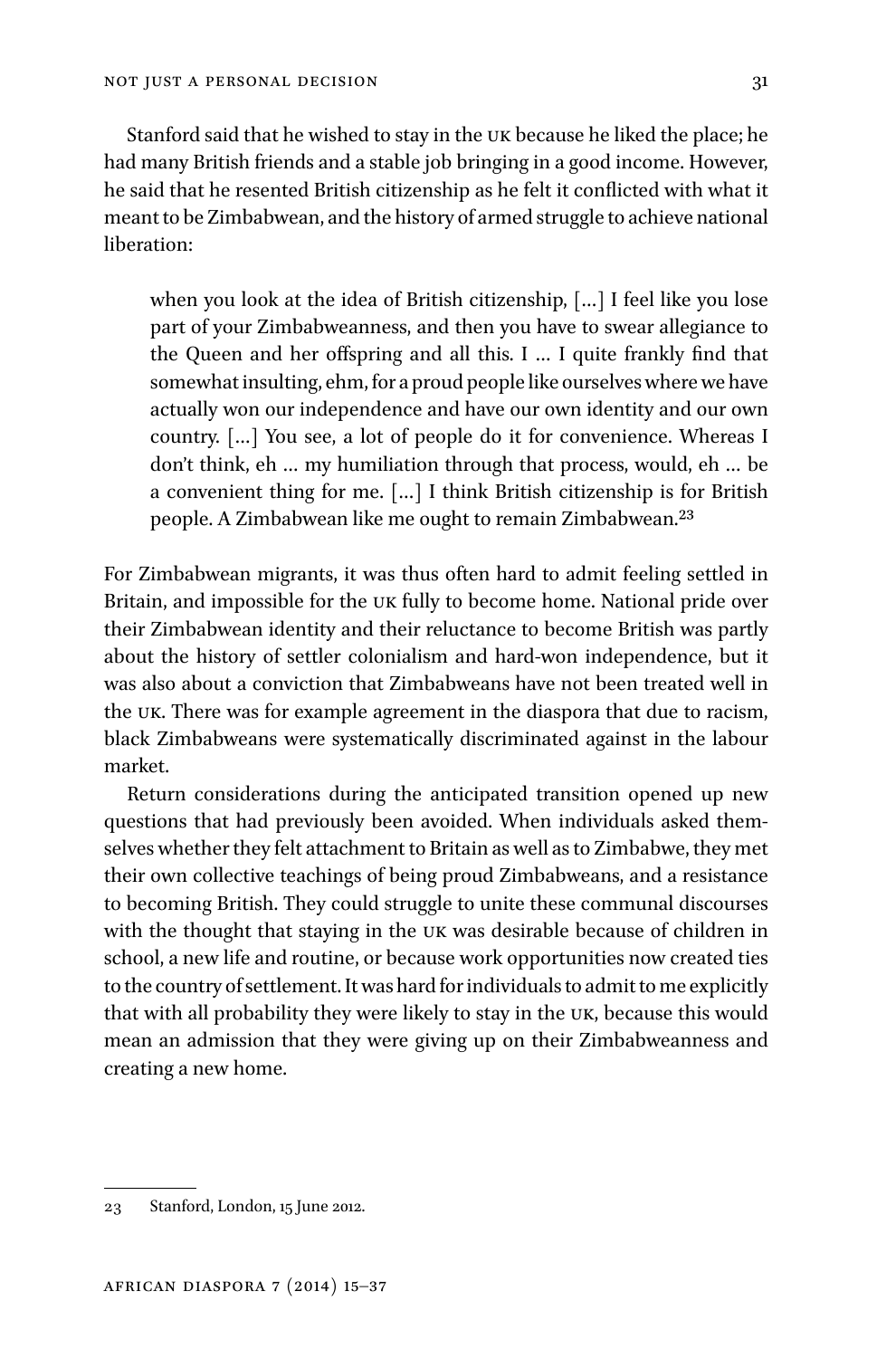Stanford said that he wished to stay in the uk because he liked the place; he had many British friends and a stable job bringing in a good income. However, he said that he resented British citizenship as he felt it conflicted with what it meant to be Zimbabwean, and the history of armed struggle to achieve national liberation:

when you look at the idea of British citizenship, […] I feel like you lose part of your Zimbabweanness, and then you have to swear allegiance to the Queen and her offspring and all this. I … I quite frankly find that somewhat insulting, ehm, for a proud people like ourselves where we have actually won our independence and have our own identity and our own country. […] You see, a lot of people do it for convenience. Whereas I don't think, eh … my humiliation through that process, would, eh … be a convenient thing for me. […] I think British citizenship is for British people. A Zimbabwean like me ought to remain Zimbabwean.23

For Zimbabwean migrants, it was thus often hard to admit feeling settled in Britain, and impossible for the uk fully to become home. National pride over their Zimbabwean identity and their reluctance to become British was partly about the history of settler colonialism and hard-won independence, but it was also about a conviction that Zimbabweans have not been treated well in the uk. There was for example agreement in the diaspora that due to racism, black Zimbabweans were systematically discriminated against in the labour market.

Return considerations during the anticipated transition opened up new questions that had previously been avoided. When individuals asked themselves whether they felt attachment to Britain as well as to Zimbabwe, they met their own collective teachings of being proud Zimbabweans, and a resistance to becoming British. They could struggle to unite these communal discourses with the thought that staying in the uk was desirable because of children in school, a new life and routine, or because work opportunities now created ties to the country of settlement. It was hard for individuals to admit to me explicitly that with all probability they were likely to stay in the uk, because this would mean an admission that they were giving up on their Zimbabweanness and creating a new home.

<sup>23</sup> Stanford, London, 15 June 2012.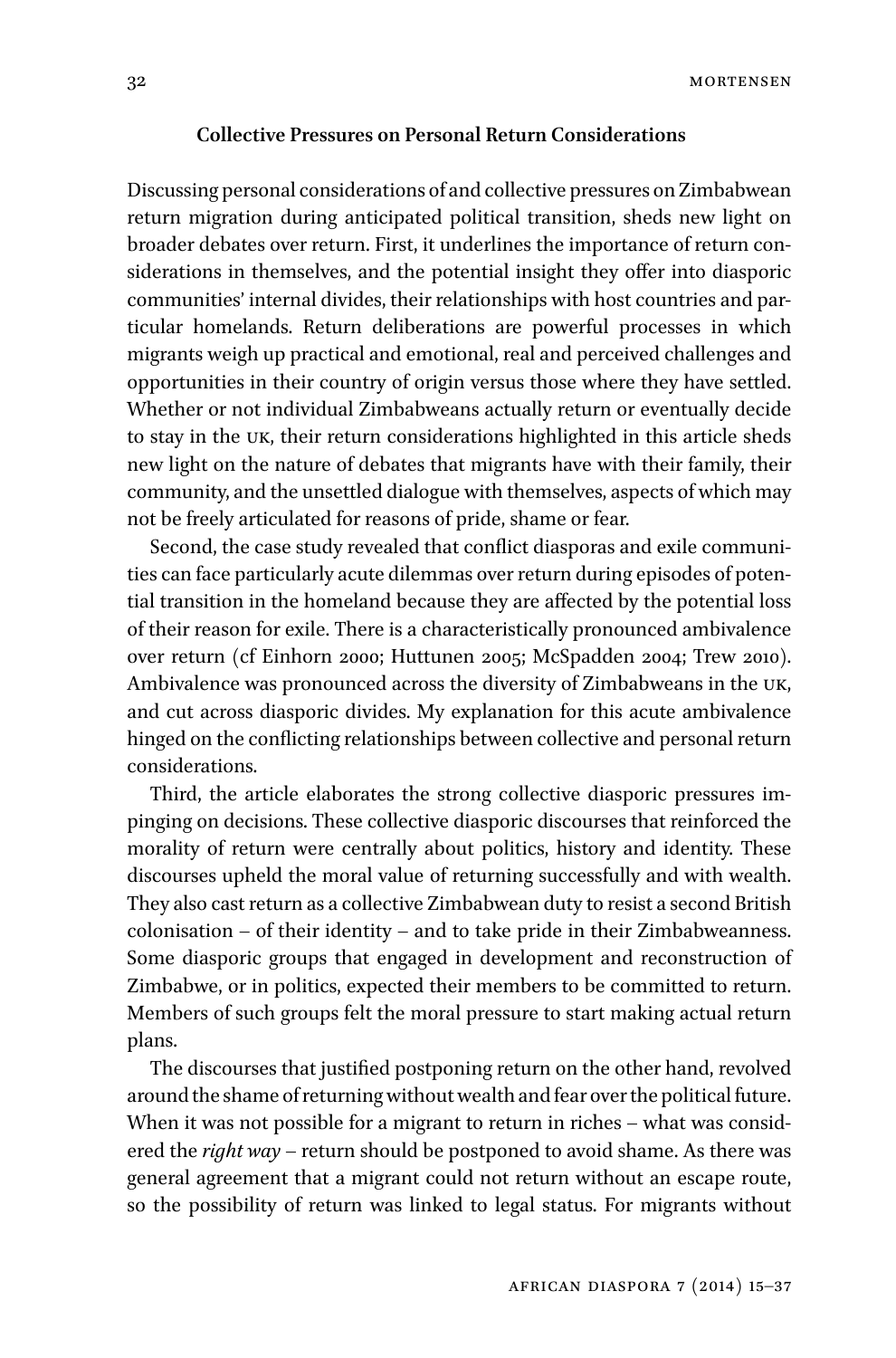#### **Collective Pressures on Personal Return Considerations**

Discussing personal considerations of and collective pressures on Zimbabwean return migration during anticipated political transition, sheds new light on broader debates over return. First, it underlines the importance of return considerations in themselves, and the potential insight they offer into diasporic communities' internal divides, their relationships with host countries and particular homelands. Return deliberations are powerful processes in which migrants weigh up practical and emotional, real and perceived challenges and opportunities in their country of origin versus those where they have settled. Whether or not individual Zimbabweans actually return or eventually decide to stay in the uk, their return considerations highlighted in this article sheds new light on the nature of debates that migrants have with their family, their community, and the unsettled dialogue with themselves, aspects of which may not be freely articulated for reasons of pride, shame or fear.

Second, the case study revealed that conflict diasporas and exile communities can face particularly acute dilemmas over return during episodes of potential transition in the homeland because they are affected by the potential loss of their reason for exile. There is a characteristically pronounced ambivalence over return (cf Einhorn 2000; Huttunen 2005; McSpadden 2004; Trew 2010). Ambivalence was pronounced across the diversity of Zimbabweans in the uk, and cut across diasporic divides. My explanation for this acute ambivalence hinged on the conflicting relationships between collective and personal return considerations.

Third, the article elaborates the strong collective diasporic pressures impinging on decisions. These collective diasporic discourses that reinforced the morality of return were centrally about politics, history and identity. These discourses upheld the moral value of returning successfully and with wealth. They also cast return as a collective Zimbabwean duty to resist a second British colonisation – of their identity – and to take pride in their Zimbabweanness. Some diasporic groups that engaged in development and reconstruction of Zimbabwe, or in politics, expected their members to be committed to return. Members of such groups felt the moral pressure to start making actual return plans.

The discourses that justified postponing return on the other hand, revolved around the shame of returning without wealth and fear over the political future. When it was not possible for a migrant to return in riches – what was considered the *right way* – return should be postponed to avoid shame. As there was general agreement that a migrant could not return without an escape route, so the possibility of return was linked to legal status. For migrants without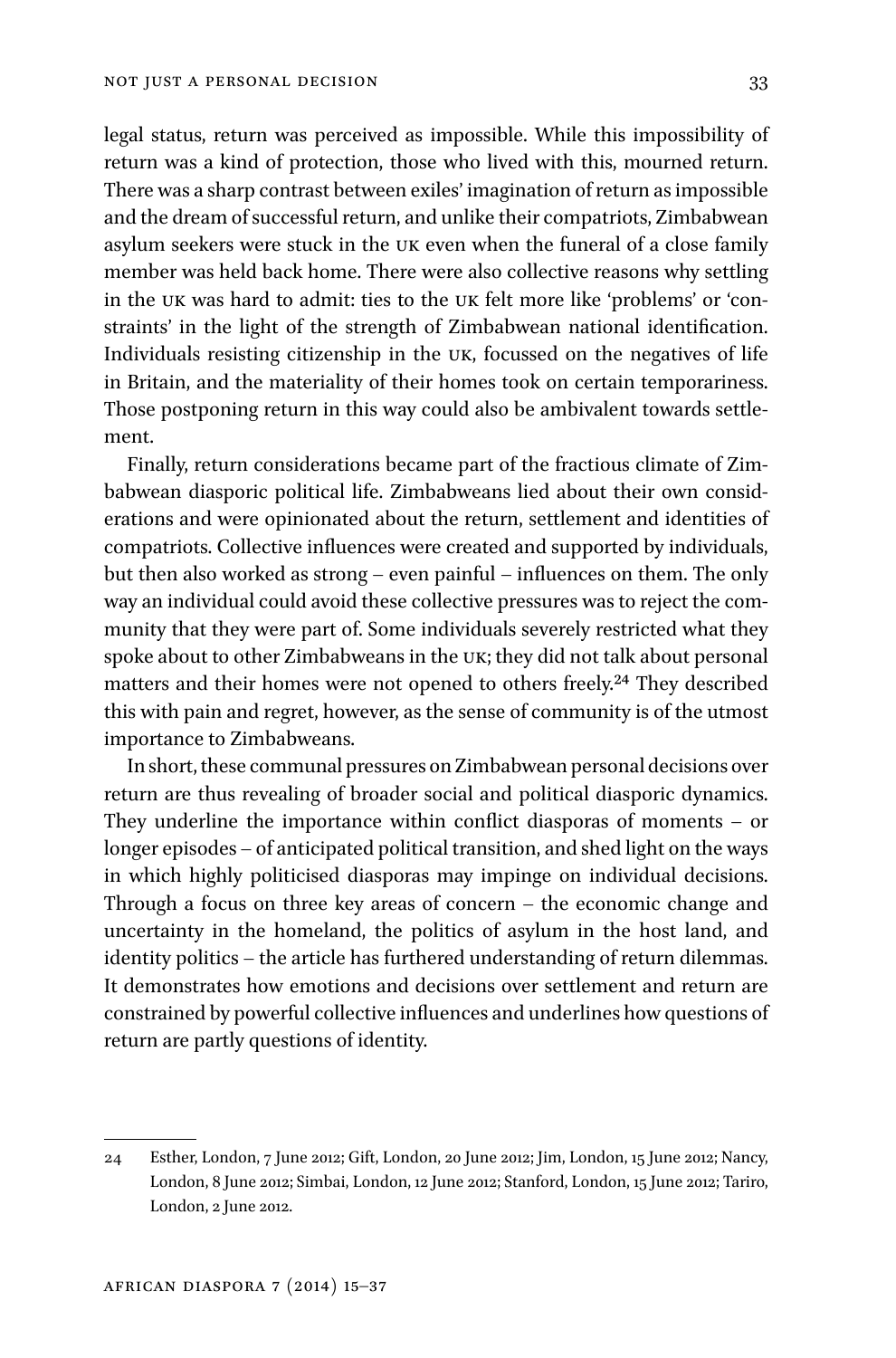legal status, return was perceived as impossible. While this impossibility of return was a kind of protection, those who lived with this, mourned return. There was a sharp contrast between exiles' imagination of return as impossible and the dream of successful return, and unlike their compatriots, Zimbabwean asylum seekers were stuck in the uk even when the funeral of a close family member was held back home. There were also collective reasons why settling in the uk was hard to admit: ties to the uk felt more like 'problems' or 'constraints' in the light of the strength of Zimbabwean national identification. Individuals resisting citizenship in the uk, focussed on the negatives of life in Britain, and the materiality of their homes took on certain temporariness. Those postponing return in this way could also be ambivalent towards settlement.

Finally, return considerations became part of the fractious climate of Zimbabwean diasporic political life. Zimbabweans lied about their own considerations and were opinionated about the return, settlement and identities of compatriots. Collective influences were created and supported by individuals, but then also worked as strong – even painful – influences on them. The only way an individual could avoid these collective pressures was to reject the community that they were part of. Some individuals severely restricted what they spoke about to other Zimbabweans in the UK; they did not talk about personal matters and their homes were not opened to others freely.<sup>24</sup> They described this with pain and regret, however, as the sense of community is of the utmost importance to Zimbabweans.

In short, these communal pressures on Zimbabwean personal decisions over return are thus revealing of broader social and political diasporic dynamics. They underline the importance within conflict diasporas of moments – or longer episodes – of anticipated political transition, and shed light on the ways in which highly politicised diasporas may impinge on individual decisions. Through a focus on three key areas of concern – the economic change and uncertainty in the homeland, the politics of asylum in the host land, and identity politics – the article has furthered understanding of return dilemmas. It demonstrates how emotions and decisions over settlement and return are constrained by powerful collective influences and underlines how questions of return are partly questions of identity.

<sup>24</sup> Esther, London, 7 June 2012; Gift, London, 20 June 2012; Jim, London, 15 June 2012; Nancy, London, 8 June 2012; Simbai, London, 12 June 2012; Stanford, London, 15 June 2012; Tariro, London, 2 June 2012.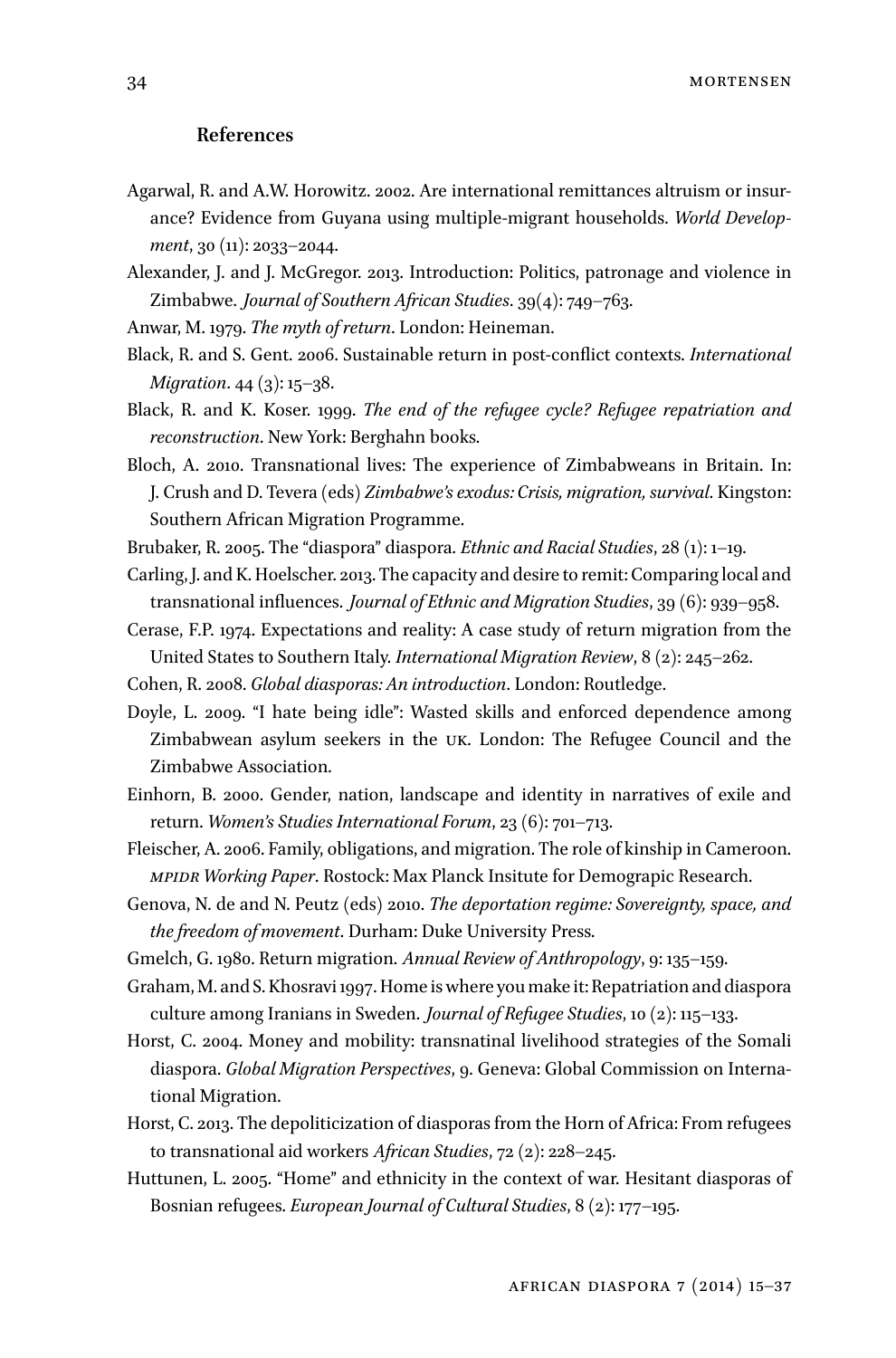### **References**

- Agarwal, R. and A.W. Horowitz. 2002. Are international remittances altruism or insurance? Evidence from Guyana using multiple-migrant households. *World Development*, 30 (11): 2033–2044.
- Alexander, J. and J. McGregor. 2013. Introduction: Politics, patronage and violence in Zimbabwe. *Journal of Southern African Studies*. 39(4): 749–763.
- Anwar, M. 1979. *The myth of return*. London: Heineman.
- Black, R. and S. Gent. 2006. Sustainable return in post-conflict contexts. *International Migration*. 44 (3): 15–38.
- Black, R. and K. Koser. 1999. *The end of the refugee cycle? Refugee repatriation and reconstruction*. New York: Berghahn books.
- Bloch, A. 2010. Transnational lives: The experience of Zimbabweans in Britain. In: J. Crush and D. Tevera (eds) *Zimbabwe's exodus: Crisis, migration, survival*. Kingston: Southern African Migration Programme.
- Brubaker, R. 2005. The "diaspora" diaspora. *Ethnic and Racial Studies*, 28 (1): 1–19.
- Carling, J. and K. Hoelscher. 2013. The capacity and desire to remit: Comparing local and transnational influences. *Journal of Ethnic and Migration Studies*, 39 (6): 939–958.
- Cerase, F.P. 1974. Expectations and reality: A case study of return migration from the United States to Southern Italy. *International Migration Review*, 8 (2): 245–262.
- Cohen, R. 2008. *Global diasporas: An introduction*. London: Routledge.
- Doyle, L. 2009. "I hate being idle": Wasted skills and enforced dependence among Zimbabwean asylum seekers in the uk. London: The Refugee Council and the Zimbabwe Association.
- Einhorn, B. 2000. Gender, nation, landscape and identity in narratives of exile and return. *Women's Studies International Forum*, 23 (6): 701–713.
- Fleischer, A. 2006. Family, obligations, and migration. The role of kinship in Cameroon. *mpidr Working Paper*. Rostock: Max Planck Insitute for Demograpic Research.
- Genova, N. de and N. Peutz (eds) 2010. *The deportation regime: Sovereignty, space, and the freedom of movement*. Durham: Duke University Press.
- Gmelch, G. 1980. Return migration. *Annual Review of Anthropology*, 9: 135–159.
- Graham, M. and S. Khosravi 1997. Home is where you make it: Repatriation and diaspora culture among Iranians in Sweden. *Journal of Refugee Studies*, 10 (2): 115–133.
- Horst, C. 2004. Money and mobility: transnatinal livelihood strategies of the Somali diaspora. *Global Migration Perspectives*, 9. Geneva: Global Commission on International Migration.
- Horst, C. 2013. The depoliticization of diasporas from the Horn of Africa: From refugees to transnational aid workers *African Studies*, 72 (2): 228–245.
- Huttunen, L. 2005. "Home" and ethnicity in the context of war. Hesitant diasporas of Bosnian refugees. *European Journal of Cultural Studies*, 8 (2): 177–195.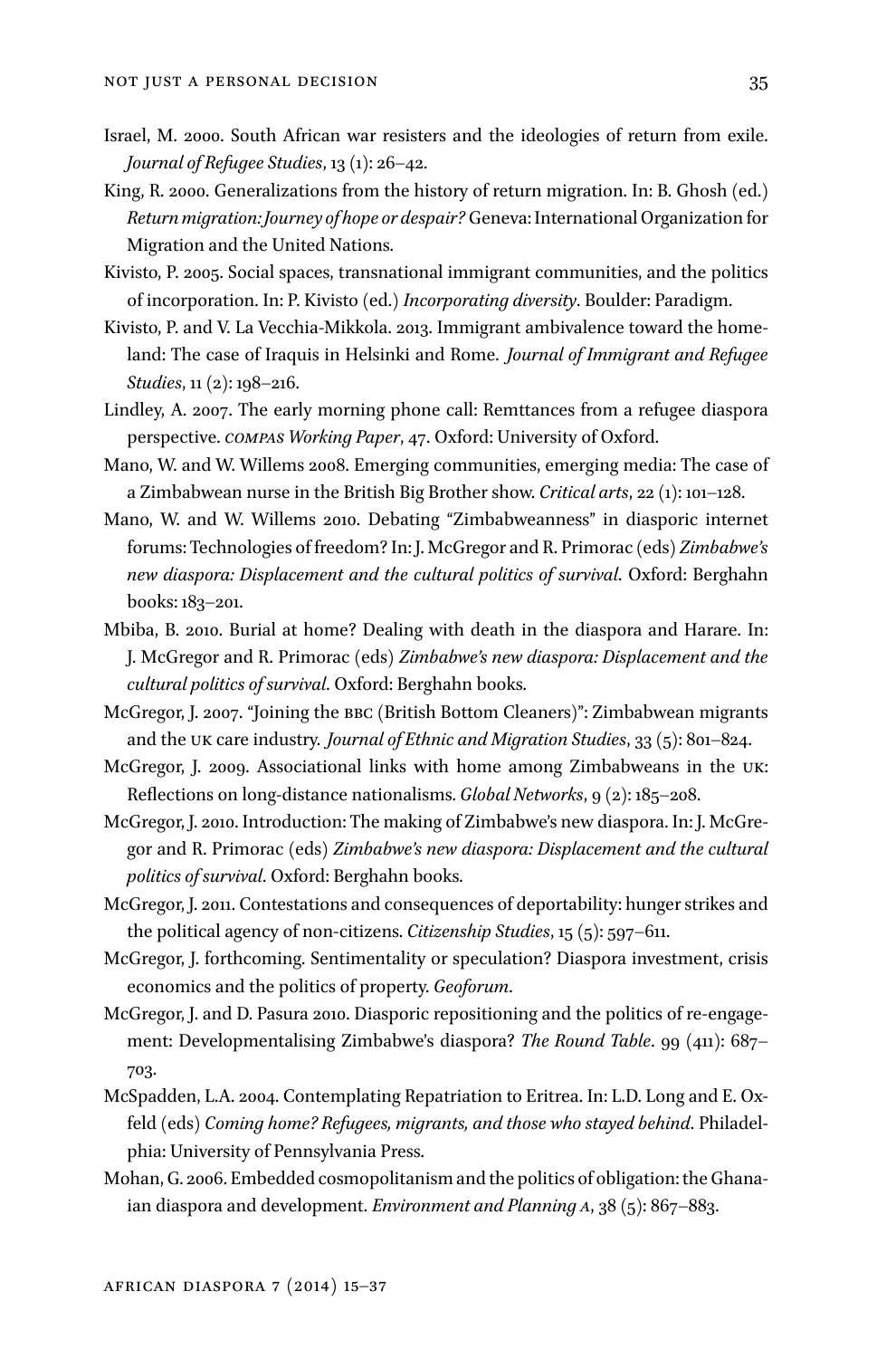- Israel, M. 2000. South African war resisters and the ideologies of return from exile. *Journal of Refugee Studies*, 13 (1): 26–42.
- King, R. 2000. Generalizations from the history of return migration. In: B. Ghosh (ed.) *Return migration:Journey of hope or despair?* Geneva:International Organization for Migration and the United Nations.
- Kivisto, P. 2005. Social spaces, transnational immigrant communities, and the politics of incorporation. In: P. Kivisto (ed.) *Incorporating diversity*. Boulder: Paradigm.
- Kivisto, P. and V. La Vecchia-Mikkola. 2013. Immigrant ambivalence toward the homeland: The case of Iraquis in Helsinki and Rome. *Journal of Immigrant and Refugee Studies*, 11 (2): 198–216.
- Lindley, A. 2007. The early morning phone call: Remttances from a refugee diaspora perspective. *compas Working Paper*, 47. Oxford: University of Oxford.
- Mano, W. and W. Willems 2008. Emerging communities, emerging media: The case of a Zimbabwean nurse in the British Big Brother show. *Critical arts*, 22 (1): 101–128.
- Mano, W. and W. Willems 2010. Debating "Zimbabweanness" in diasporic internet forums: Technologies of freedom? In: J. McGregor and R. Primorac (eds) *Zimbabwe's new diaspora: Displacement and the cultural politics of survival*. Oxford: Berghahn books: 183–201.
- Mbiba, B. 2010. Burial at home? Dealing with death in the diaspora and Harare. In: J. McGregor and R. Primorac (eds) *Zimbabwe's new diaspora: Displacement and the cultural politics of survival*. Oxford: Berghahn books.
- McGregor, J. 2007. "Joining the BBC (British Bottom Cleaners)": Zimbabwean migrants and the uk care industry. *Journal of Ethnic and Migration Studies*, 33 (5): 801–824.
- McGregor, J. 2009. Associational links with home among Zimbabweans in the uk: Reflections on long-distance nationalisms. *Global Networks*, 9 (2): 185–208.
- McGregor, J. 2010. Introduction: The making of Zimbabwe's new diaspora. In: J. McGregor and R. Primorac (eds) *Zimbabwe's new diaspora: Displacement and the cultural politics of survival*. Oxford: Berghahn books.
- McGregor, J. 2011. Contestations and consequences of deportability: hunger strikes and the political agency of non-citizens. *Citizenship Studies*, 15 (5): 597–611.
- McGregor, J. forthcoming. Sentimentality or speculation? Diaspora investment, crisis economics and the politics of property. *Geoforum*.
- McGregor, J. and D. Pasura 2010. Diasporic repositioning and the politics of re-engagement: Developmentalising Zimbabwe's diaspora? *The Round Table*. 99 (411): 687– 703.
- McSpadden, L.A. 2004. Contemplating Repatriation to Eritrea. In: L.D. Long and E. Oxfeld (eds) *Coming home? Refugees, migrants, and those who stayed behind*. Philadelphia: University of Pennsylvania Press.
- Mohan, G. 2006. Embedded cosmopolitanism and the politics of obligation: the Ghanaian diaspora and development. *Environment and Planning A*, 38 (5): 867–883.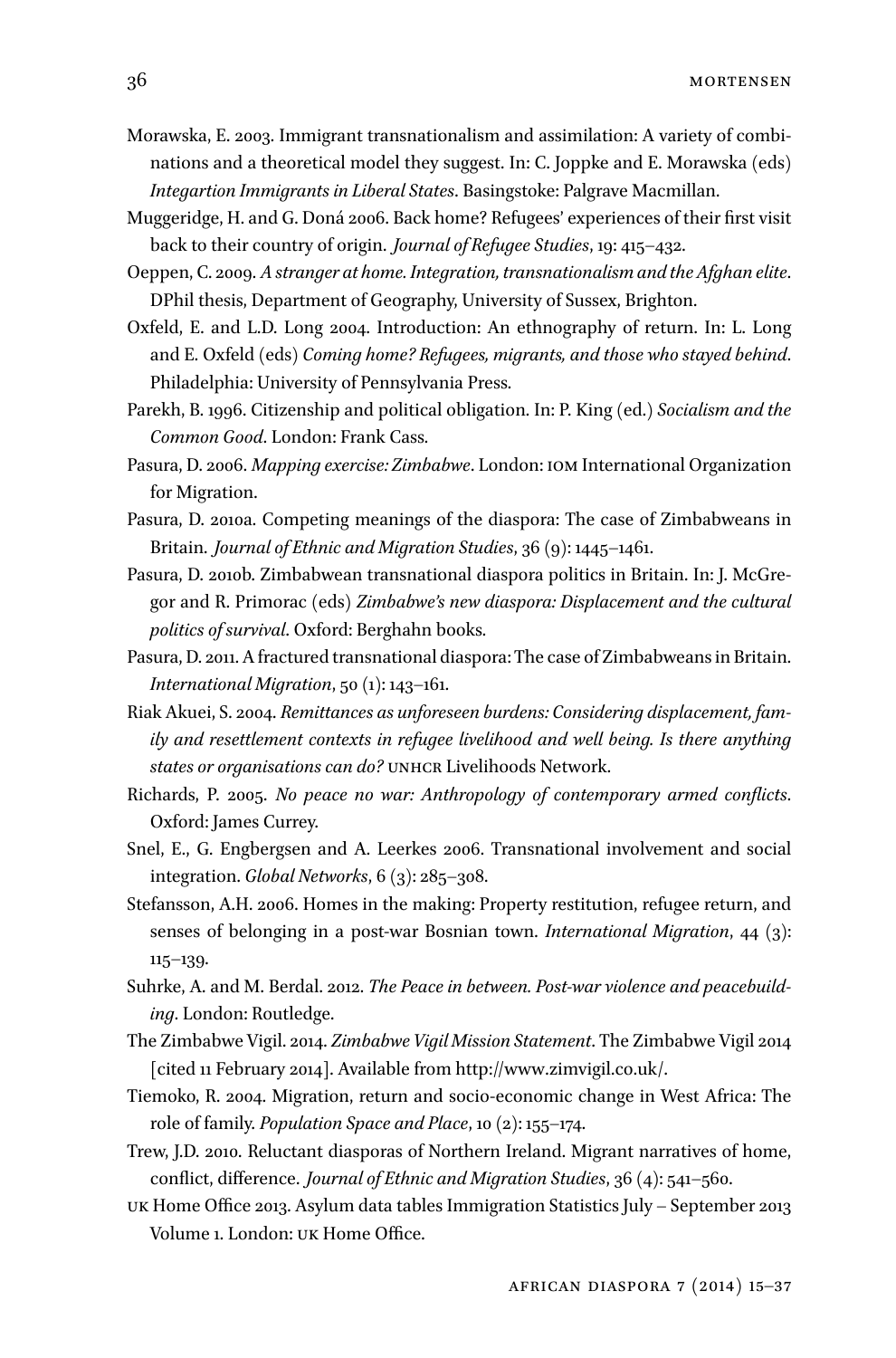- Morawska, E. 2003. Immigrant transnationalism and assimilation: A variety of combinations and a theoretical model they suggest. In: C. Joppke and E. Morawska (eds) *Integartion Immigrants in Liberal States*. Basingstoke: Palgrave Macmillan.
- Muggeridge, H. and G. Doná 2006. Back home? Refugees' experiences of their first visit back to their country of origin. *Journal of Refugee Studies*, 19: 415–432.
- Oeppen, C. 2009. *A stranger at home.Integration,transnationalism and the Afghan elite*. DPhil thesis, Department of Geography, University of Sussex, Brighton.
- Oxfeld, E. and L.D. Long 2004. Introduction: An ethnography of return. In: L. Long and E. Oxfeld (eds) *Coming home? Refugees, migrants, and those who stayed behind*. Philadelphia: University of Pennsylvania Press.
- Parekh, B. 1996. Citizenship and political obligation. In: P. King (ed.) *Socialism and the Common Good*. London: Frank Cass.
- Pasura, D. 2006. *Mapping exercise: Zimbabwe*. London: iom International Organization for Migration.
- Pasura, D. 2010a. Competing meanings of the diaspora: The case of Zimbabweans in Britain. *Journal of Ethnic and Migration Studies*, 36 (9): 1445–1461.
- Pasura, D. 2010b. Zimbabwean transnational diaspora politics in Britain. In: J. McGregor and R. Primorac (eds) *Zimbabwe's new diaspora: Displacement and the cultural politics of survival*. Oxford: Berghahn books.
- Pasura, D. 2011. A fractured transnational diaspora: The case of Zimbabweans in Britain. *International Migration*, 50 (1): 143–161.
- Riak Akuei, S. 2004. *Remittances as unforeseen burdens: Considering displacement, family and resettlement contexts in refugee livelihood and well being. Is there anything* states or organisations can do? UNHCR Livelihoods Network.
- Richards, P. 2005. *No peace no war: Anthropology of contemporary armed conflicts*. Oxford: James Currey.
- Snel, E., G. Engbergsen and A. Leerkes 2006. Transnational involvement and social integration. *Global Networks*, 6 (3): 285–308.
- Stefansson, A.H. 2006. Homes in the making: Property restitution, refugee return, and senses of belonging in a post-war Bosnian town. *International Migration*, 44 (3): 115–139.
- Suhrke, A. and M. Berdal. 2012. *The Peace in between. Post-war violence and peacebuilding*. London: Routledge.
- The Zimbabwe Vigil. 2014. *Zimbabwe Vigil Mission Statement*. The Zimbabwe Vigil 2014 [cited 11 February 2014]. Available from [http://www.zimvigil.co.uk/.](http://www.zimvigil.co.uk/)
- Tiemoko, R. 2004. Migration, return and socio-economic change in West Africa: The role of family. *Population Space and Place*, 10 (2): 155–174.
- Trew, J.D. 2010. Reluctant diasporas of Northern Ireland. Migrant narratives of home, conflict, difference. *Journal of Ethnic and Migration Studies*, 36 (4): 541–560.
- uk Home Office 2013. Asylum data tables Immigration Statistics July September 2013 Volume 1. London: uk Home Office.